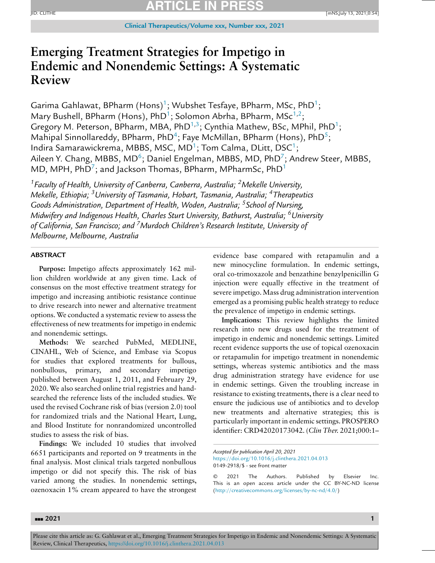### **ARTICLE IN PRESS** ID: CLITHE **[mNS;**July 13, 2021;0:54] **[mNS]**

# **Emerging Treatment Strategies for Impetigo in Endemic and Nonendemic Settings: A Systematic Review**

Garima Gahlawat, BPharm (Hons)<sup>1</sup>; Wubshet Tesfaye, BPharm, MSc, PhD<sup>1</sup>; Mary Bushell, BPharm (Hons), PhD<sup>1</sup>; Solomon Abrha, BPharm, MSc<sup>1,2</sup>; Gregory M. Peterson, BPharm, MBA, PhD<sup>1,3</sup>; Cynthia Mathew, BSc, MPhil, PhD<sup>1</sup>; Mahipal Sinnollareddy, BPharm, PhD<sup>4</sup>; Faye McMillan, BPharm (Hons), PhD<sup>5</sup>; Indira Samarawickrema, MBBS, MSC, MD<sup>1</sup>; Tom Calma, DLitt, DSC<sup>1</sup>; Aileen Y. Chang, MBBS, MD<sup>6</sup>; Daniel Engelman, MBBS, MD, PhD<sup>7</sup>; Andrew Steer, MBBS, MD, MPH,  $PhD<sup>7</sup>$ ; and Jackson Thomas, BPharm, MPharmSc,  $PhD<sup>1</sup>$ 

*1Faculty of Health, University of Canberra, Canberra, Australia; 2Mekelle University, Mekelle, Ethiopia; 3University of Tasmania, Hobart, Tasmania, Australia; 4Therapeutics Goods Administration, Department of Health, Woden, Australia; 5School of Nursing, Midwifery and Indigenous Health, Charles Sturt University, Bathurst, Australia; 6University of California, San Francisco; and 7Murdoch Children's Research Institute, University of Melbourne, Melbourne, Australia*

### **ABSTRACT**

**Purpose:** Impetigo affects approximately 162 million children worldwide at any given time. Lack of consensus on the most effective treatment strategy for impetigo and increasing antibiotic resistance continue to drive research into newer and alternative treatment options. We conducted a systematic review to assess the effectiveness of new treatments for impetigo in endemic and nonendemic settings.

**Methods:** We searched PubMed, MEDLINE, CINAHL, Web of Science, and Embase via Scopus for studies that explored treatments for bullous, nonbullous, primary, and secondary impetigo published between August 1, 2011, and February 29, 2020. We also searched online trial registries and handsearched the reference lists of the included studies. We used the revised Cochrane risk of bias (version 2.0) tool for randomized trials and the National Heart, Lung, and Blood Institute for nonrandomized uncontrolled studies to assess the risk of bias.

**Findings:** We included 10 studies that involved 6651 participants and reported on 9 treatments in the final analysis. Most clinical trials targeted nonbullous impetigo or did not specify this. The risk of bias varied among the studies. In nonendemic settings, ozenoxacin 1% cream appeared to have the strongest evidence base compared with retapamulin and a new minocycline formulation. In endemic settings, oral co-trimoxazole and benzathine benzylpenicillin G injection were equally effective in the treatment of severe impetigo.Mass drug administration intervention emerged as a promising public health strategy to reduce the prevalence of impetigo in endemic settings.

**Implications:** This review highlights the limited research into new drugs used for the treatment of impetigo in endemic and nonendemic settings. Limited recent evidence supports the use of topical ozenoxacin or retapamulin for impetigo treatment in nonendemic settings, whereas systemic antibiotics and the mass drug administration strategy have evidence for use in endemic settings. Given the troubling increase in resistance to existing treatments, there is a clear need to ensure the judicious use of antibiotics and to develop new treatments and alternative strategies; this is particularly important in endemic settings. PROSPERO identifier: CRD42020173042. (*Clin Ther.* 2021;000:1–

*Accepted for publication April 20, 2021* <https://doi.org/10.1016/j.clinthera.2021.04.013> 0149-2918/\$ - see front matter

<sup>© 2021</sup> The Authors. Published by Elsevier Inc. This is an open access article under the CC BY-NC-ND license [\(http://creativecommons.org/licenses/by-nc-nd/4.0/\)](http://creativecommons.org/licenses/by-nc-nd/4.0/)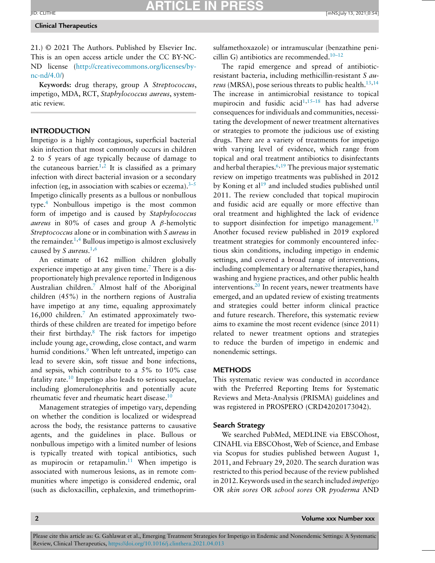### **Clinical Therapeutics**

21.) © 2021 The Authors. Published by Elsevier Inc. This is an open access article under the CC BY-NC-ND license [\(http://creativecommons.org/licenses/by](http://creativecommons.org/licenses/by-nc-nd/4.0/) $nc\text{-}nd/4.0/$ 

**Keywords:** drug therapy, group A *Streptococcus*, impetigo, MDA, RCT, *Staphylococcus aureus*, systematic review.

### **INTRODUCTION**

Impetigo is a highly contagious, superficial bacterial skin infection that most commonly occurs in children 2 to 5 years of age typically because of damage to the cutaneous barrier.<sup>1,2</sup> It is classified as a primary infection with direct bacterial invasion or a secondary infection (eg, in association with scabies or eczema). $3-5$ Impetigo clinically presents as a bullous or nonbullous type[.4](#page-18-0) Nonbullous impetigo is the most common form of impetigo and is caused by *Staphylococcus aureus* in 80% of cases and group A β-hemolytic *Streptococcus* alone or in combination with *S aureus* in the remainder.<sup>1,4</sup> Bullous impetigo is almost exclusively caused by *S aureus.*[1,6](#page-18-0)

An estimate of 162 million children globally experience impetigo at any given time.<sup>7</sup> There is a disproportionately high prevalence reported in Indigenous Australian children[.7](#page-18-0) Almost half of the Aboriginal children (45%) in the northern regions of Australia have impetigo at any time, equaling approximately 16,000 children[.7](#page-18-0) An estimated approximately twothirds of these children are treated for impetigo before their first birthday.<sup>8</sup> The risk factors for impetigo include young age, crowding, close contact, and warm humid conditions.<sup>9</sup> When left untreated, impetigo can lead to severe skin, soft tissue and bone infections, and sepsis, which contribute to a 5% to 10% case fatality rate.<sup>10</sup> Impetigo also leads to serious sequelae, including glomerulonephritis and potentially acute rheumatic fever and rheumatic heart disease[.10](#page-18-0)

Management strategies of impetigo vary, depending on whether the condition is localized or widespread across the body, the resistance patterns to causative agents, and the guidelines in place. Bullous or nonbullous impetigo with a limited number of lesions is typically treated with topical antibiotics, such as mupirocin or retapamulin.<sup>11</sup> When impetigo is associated with numerous lesions, as in remote communities where impetigo is considered endemic, oral (such as dicloxacillin, cephalexin, and trimethoprimsulfamethoxazole) or intramuscular (benzathine penicillin G) antibiotics are recommended. $10-12$ 

The rapid emergence and spread of antibioticresistant bacteria, including methicillin-resistant *S aureus* (MRSA), pose serious threats to public health.<sup>13,14</sup> The increase in antimicrobial resistance to topical mupirocin and fusidic acid $1,15-18$  has had adverse consequences for individuals and communities, necessitating the development of newer treatment alternatives or strategies to promote the judicious use of existing drugs. There are a variety of treatments for impetigo with varying level of evidence, which range from topical and oral treatment antibiotics to disinfectants and herbal therapies. $6,19$  $6,19$  The previous major systematic review on impetigo treatments was published in 2012 by Koning et  $al<sup>19</sup>$  $al<sup>19</sup>$  $al<sup>19</sup>$  and included studies published until 2011. The review concluded that topical mupirocin and fusidic acid are equally or more effective than oral treatment and highlighted the lack of evidence to support disinfection for impetigo management.<sup>19</sup> Another focused review published in 2019 explored treatment strategies for commonly encountered infectious skin conditions, including impetigo in endemic settings, and covered a broad range of interventions, including complementary or alternative therapies, hand washing and hygiene practices, and other public health interventions. $20$  In recent years, newer treatments have emerged, and an updated review of existing treatments and strategies could better inform clinical practice and future research. Therefore, this systematic review aims to examine the most recent evidence (since 2011) related to newer treatment options and strategies to reduce the burden of impetigo in endemic and nonendemic settings.

### **METHODS**

This systematic review was conducted in accordance with the Preferred Reporting Items for Systematic Reviews and Meta-Analysis (PRISMA) guidelines and was registered in PROSPERO (CRD42020173042).

### **Search Strategy**

We searched PubMed, MEDLINE via EBSCOhost, CINAHL via EBSCOhost, Web of Science, and Embase via Scopus for studies published between August 1, 2011, and February 29, 2020. The search duration was restricted to this period because of the review published in 2012. Keywords used in the search included *impetigo* OR *skin sores* OR *school sores* OR *pyoderma* AND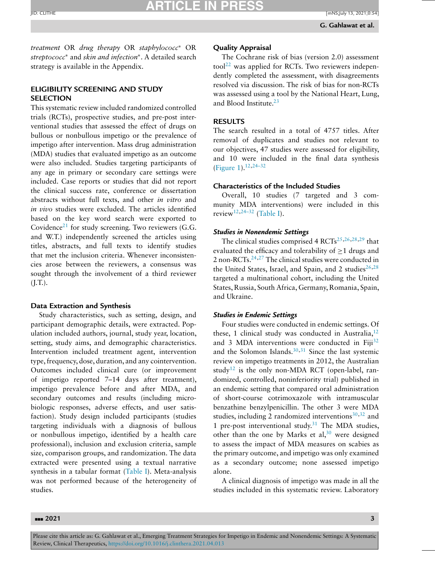## **ARTICLE IN PRESS**

*treatment* OR *drug therapy* OR *staphylococc*<sup>∗</sup> OR *streptococc*<sup>∗</sup> and *skin and infection*∗. A detailed search strategy is available in the Appendix.

### **ELIGIBILITY SCREENING AND STUDY SELECTION**

This systematic review included randomized controlled trials (RCTs), prospective studies, and pre-post interventional studies that assessed the effect of drugs on bullous or nonbullous impetigo or the prevalence of impetigo after intervention. Mass drug administration (MDA) studies that evaluated impetigo as an outcome were also included. Studies targeting participants of any age in primary or secondary care settings were included. Case reports or studies that did not report the clinical success rate, conference or dissertation abstracts without full texts, and other *in vitro* and *in vivo* studies were excluded. The articles identified based on the key word search were exported to Covidence<sup>[21](#page-19-0)</sup> for study screening. Two reviewers  $(G.G.,$ and W.T.) independently screened the articles using titles, abstracts, and full texts to identify studies that met the inclusion criteria. Whenever inconsistencies arose between the reviewers, a consensus was sought through the involvement of a third reviewer  $(I.T.).$ 

### **Data Extraction and Synthesis**

Study characteristics, such as setting, design, and participant demographic details, were extracted. Population included authors, journal, study year, location, setting, study aims, and demographic characteristics. Intervention included treatment agent, intervention type,frequency, dose, duration, and any cointervention. Outcomes included clinical cure (or improvement of impetigo reported 7–14 days after treatment), impetigo prevalence before and after MDA, and secondary outcomes and results (including microbiologic responses, adverse effects, and user satisfaction). Study design included participants (studies targeting individuals with a diagnosis of bullous or nonbullous impetigo, identified by a health care professional), inclusion and exclusion criteria, sample size, comparison groups, and randomization. The data extracted were presented using a textual narrative synthesis in a tabular format [\(Table](#page-3-0) I). Meta-analysis was not performed because of the heterogeneity of studies.

### **Quality Appraisal**

The Cochrane risk of bias (version 2.0) assessment tool<sup>[22](#page-19-0)</sup> was applied for RCTs. Two reviewers independently completed the assessment, with disagreements resolved via discussion. The risk of bias for non-RCTs was assessed using a tool by the National Heart, Lung, and Blood Institute. $23$ 

### **RESULTS**

The search resulted in a total of 4757 titles. After removal of duplicates and studies not relevant to our objectives, 47 studies were assessed for eligibility, and 10 were included in the final data synthesis [\(Figure](#page-13-0) 1).<sup>12[,24–32](#page-19-0)</sup>

### **Characteristics of the Included Studies**

Overall, 10 studies (7 targeted and 3 community MDA interventions) were included in this review<sup>[12,](#page-18-0)[24–32](#page-19-0)</sup> [\(Table](#page-3-0) I).

### *Studies in Nonendemic Settings*

The clinical studies comprised 4 RCTs<sup>[25,26,28,29](#page-19-0)</sup> that evaluated the efficacy and tolerability of  $\geq 1$  drugs and 2 non-RCTs. $24,27$  The clinical studies were conducted in the United States, Israel, and Spain, and 2 studies $26,28$ targeted a multinational cohort, including the United States, Russia, South Africa, Germany, Romania, Spain, and Ukraine.

### *Studies in Endemic Settings*

Four studies were conducted in endemic settings. Of these, 1 clinical study was conducted in Australia,  $12$ and 3 MDA interventions were conducted in Fiji<sup>[32](#page-19-0)</sup> and the Solomon Islands. $30,31$  Since the last systemic review on impetigo treatments in 2012, the Australian study<sup>[12](#page-18-0)</sup> is the only non-MDA RCT (open-label, randomized, controlled, noninferiority trial) published in an endemic setting that compared oral administration of short-course cotrimoxazole with intramuscular benzathine benzylpenicillin. The other 3 were MDA studies, including 2 randomized interventions $30,32$  and 1 pre-post interventional study. $31$  The MDA studies, other than the one by Marks et al,  $30$  were designed to assess the impact of MDA measures on scabies as the primary outcome, and impetigo was only examined as a secondary outcome; none assessed impetigo alone.

A clinical diagnosis of impetigo was made in all the studies included in this systematic review. Laboratory

### ---**2021 3**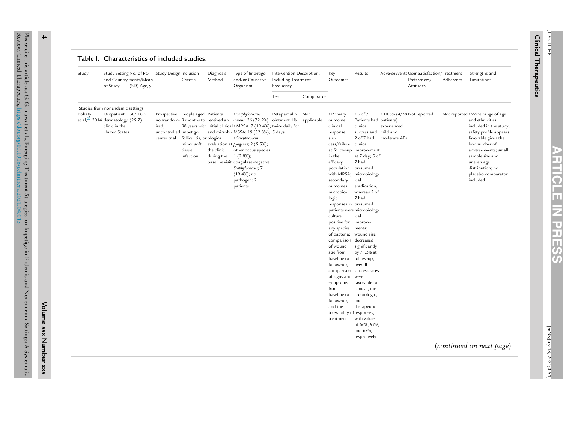| L<br><b>Inicar</b> | ₹<br>Ë<br>╤<br>≐ |
|--------------------|------------------|
|                    |                  |
| <b>herapeutics</b> |                  |

| Study  | Study Setting No. of Pa-<br>and Country tients/Mean<br>of Study<br>(SD) Age, y                                                            | Study Design Inclusion          | Criteria                                                                                           | Diagnosis<br>Method                   | Type of Impetigo<br>and/or Causative<br>Organism                                                                                                                                                                                                                                                                                                                                                               | Intervention Description,<br>Including Treatment<br>Frequency |            | Key<br>Outcomes                                                                                                                                                                                                                                                                                                                                                                                                                                                                                     | Results                                                                                                                                                                                                                                                                                                                                                                                                                                                                                     | AdverseEvents User Satisfaction/Treatment<br>Preferences/<br>Attitudes | Adherence | Strengths and<br>Limitations                                                                                                                                                                                                                                                                |
|--------|-------------------------------------------------------------------------------------------------------------------------------------------|---------------------------------|----------------------------------------------------------------------------------------------------|---------------------------------------|----------------------------------------------------------------------------------------------------------------------------------------------------------------------------------------------------------------------------------------------------------------------------------------------------------------------------------------------------------------------------------------------------------------|---------------------------------------------------------------|------------|-----------------------------------------------------------------------------------------------------------------------------------------------------------------------------------------------------------------------------------------------------------------------------------------------------------------------------------------------------------------------------------------------------------------------------------------------------------------------------------------------------|---------------------------------------------------------------------------------------------------------------------------------------------------------------------------------------------------------------------------------------------------------------------------------------------------------------------------------------------------------------------------------------------------------------------------------------------------------------------------------------------|------------------------------------------------------------------------|-----------|---------------------------------------------------------------------------------------------------------------------------------------------------------------------------------------------------------------------------------------------------------------------------------------------|
|        |                                                                                                                                           |                                 |                                                                                                    |                                       |                                                                                                                                                                                                                                                                                                                                                                                                                | Test                                                          | Comparator |                                                                                                                                                                                                                                                                                                                                                                                                                                                                                                     |                                                                                                                                                                                                                                                                                                                                                                                                                                                                                             |                                                                        |           |                                                                                                                                                                                                                                                                                             |
| Bohaty | Studies from nonendemic settings<br>Outpatient 38/18.5<br>et al, $^{22}$ 2014 dermatology (25.7)<br>clinic in the<br><b>United States</b> | ized,<br>uncontrolled impetigo, | Prospective, People aged Patients<br>center trial folliculitis, or ological<br>tissue<br>infection | the clinic<br>during the $1(2.8\%)$ ; | • Staphylococcus<br>nonrandom- 9 months to received an <i>aureus</i> : 26 (72.2%); ointment 1%<br>98 years with initial clinical . MRSA: 7 (19.4%); twice daily for<br>and microbi- MSSA: 19 (52.8%); 5 days<br>• Streptococcus<br>minor soft evaluation at pyogenes; 2 (5.5%);<br>other occus species:<br>baseline visit coagulase-negative<br>Staphylococcus; 7<br>$(19.4\%);$ no<br>pathogen: 2<br>patients | Retapamulin Not                                               | applicable | • Primary<br>outcome:<br>clinical<br>response<br>suc-<br>cess/failure clinical<br>in the<br>efficacy<br>population presumed<br>secondary<br>outcomes:<br>microbio-<br>logic<br>responses in presumed<br>culture<br>positive for improve-<br>any species ments;<br>of bacteria; wound size<br>comparison decreased<br>of wound<br>size from<br>baseline to<br>follow-up;<br>of signs and were<br>symptoms<br>from<br>baseline to<br>follow-up;<br>and the<br>tolerability of responses,<br>treatment | $\cdot$ 5 of 7<br>Patients had patients)<br>clinical<br>success and mild and<br>2 of 7 had<br>at follow-up improvement<br>at 7 day; 5 of<br>7 had<br>with MRSA; microbiolog-<br>ical<br>eradication,<br>whereas 2 of<br>7 had<br>patients were microbiolog-<br>ical<br>significantly<br>by 71.3% at<br>follow-up;<br>overall<br>comparison success rates<br>favorable for<br>clinical, mi-<br>crobiologic,<br>and<br>therapeutic<br>with values<br>of 66%, 97%,<br>and 69%,<br>respectively | • 10.5% (4/38 Not reported<br>experienced<br>moderate AEs              |           | Not reported . Wide range of age<br>and ethnicities<br>included in the study;<br>safety profile appears<br>favorable given the<br>low number of<br>adverse events; small<br>sample size and<br>uneven age<br>distribution; no<br>placebo comparator<br>included<br>(continued on next page) |

Please

cite this article as: G.

<span id="page-3-0"></span>Review,

Clinical

Therapeutics,

Gahlawat

et al.,

<https://doi.org/10.1016/j.clinthera.2021.04.013>

**4**

Emerging Treatment Strategies for Impetigo in Endemic and Nonendemic Settings: A Systematic

**Volume**

**xxx**

**Number**

**xxx**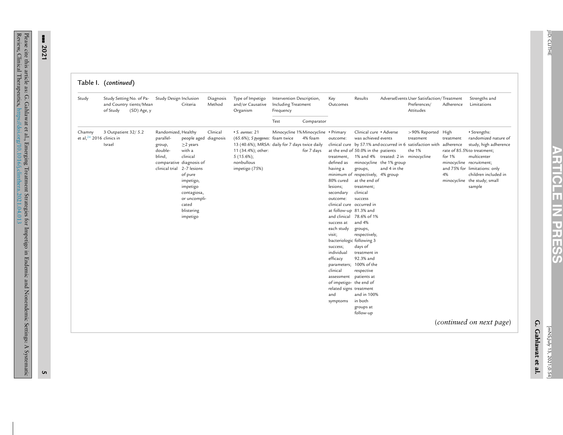**ARTICLE**

**IZ** 

**PRESS**

| Study                                 | Study Setting No. of Pa-<br>and Country tients/Mean<br>of Study<br>(SD) Age, y | Study Design Inclusion                                                                        | Criteria                                                                                                                                                                                        | Diagnosis<br>Method | Type of Impetigo<br>and/or Causative<br>Organism                                                                                                                           | Intervention Description,<br>Including Treatment<br>Frequency |                       | Key<br>Outcomes                                                                                                                                                                                                                                                                                                                                                                   | Results                                                                                                                                                                                                                                                                                                                                                                                            |                                                                                 | AdverseEvents User Satisfaction/Treatment<br>Preferences/<br>Attitudes                                  | Adherence                                                          | Strengths and<br>Limitations                                                                                                                                                                                   |
|---------------------------------------|--------------------------------------------------------------------------------|-----------------------------------------------------------------------------------------------|-------------------------------------------------------------------------------------------------------------------------------------------------------------------------------------------------|---------------------|----------------------------------------------------------------------------------------------------------------------------------------------------------------------------|---------------------------------------------------------------|-----------------------|-----------------------------------------------------------------------------------------------------------------------------------------------------------------------------------------------------------------------------------------------------------------------------------------------------------------------------------------------------------------------------------|----------------------------------------------------------------------------------------------------------------------------------------------------------------------------------------------------------------------------------------------------------------------------------------------------------------------------------------------------------------------------------------------------|---------------------------------------------------------------------------------|---------------------------------------------------------------------------------------------------------|--------------------------------------------------------------------|----------------------------------------------------------------------------------------------------------------------------------------------------------------------------------------------------------------|
|                                       |                                                                                |                                                                                               |                                                                                                                                                                                                 |                     |                                                                                                                                                                            | Test                                                          | Comparator            |                                                                                                                                                                                                                                                                                                                                                                                   |                                                                                                                                                                                                                                                                                                                                                                                                    |                                                                                 |                                                                                                         |                                                                    |                                                                                                                                                                                                                |
| Chamny<br>et al, $24$ 2016 clinics in | 3 Outpatient 32/ 5.2<br>Israel                                                 | Randomized, Healthy<br>parallel-<br>group,<br>double-<br>blind,<br>clinical trial 2-7 lesions | people aged diagnosis<br>$\geq$ 2 years<br>with a<br>clinical<br>comparative diagnosis of<br>of pure<br>impetigo,<br>impetigo<br>contagiosa,<br>or uncompli-<br>cated<br>blistering<br>impetigo | Clinical            | • S. aureus: 21<br>(65.6%); S pyogenes: foam twice<br>13 (40.6%); MRSA: daily for 7 days twice daily<br>11 (34.4%); other:<br>$5(15.6\%);$<br>nonbullous<br>impetigo (75%) | Minocycline 1% Minocycline • Primary                          | 4% foam<br>for 7 days | outcome:<br>treatment,<br>defined as<br>having a<br>80% cured<br>lesions;<br>secondary<br>outcome:<br>clinical cure occurred in<br>at follow-up 81.3% and<br>success at<br>each study<br>visit;<br>bacteriologic following 3<br>success;<br>individual<br>efficacy<br>clinical<br>assessment patients at<br>of impetigo- the end of<br>related signs treatment<br>and<br>symptoms | Clinical cure · Adverse<br>was achieved events<br>at the end of 50.0% in the patients<br>groups,<br>minimum of respectively, 4% group<br>at the end of<br>treatment;<br>clinical<br>success<br>and clinical 78.6% of 1%<br>and 4%<br>groups,<br>respectively,<br>days of<br>treatment in<br>92.3% and<br>parameters; 100% of the<br>respective<br>and in 100%<br>in both<br>groups at<br>follow-up | 1% and 4% treated: 2 in minocycline<br>minocycline the 1% group<br>and 4 in the | >90% Reported High<br>treatment<br>clinical cure by 57.1% and occurred in 6 satisfaction with<br>the 1% | treatment<br>adherence<br>for 1%<br>minocycline recruitment;<br>4% | · Strengths:<br>randomized nature of<br>study, high adherence<br>rate of 85.5% to treatment;<br>multicenter<br>and 75% for limitations: only<br>children included in<br>minocycline the study; small<br>sample |
|                                       |                                                                                |                                                                                               |                                                                                                                                                                                                 |                     |                                                                                                                                                                            |                                                               |                       |                                                                                                                                                                                                                                                                                                                                                                                   |                                                                                                                                                                                                                                                                                                                                                                                                    |                                                                                 |                                                                                                         |                                                                    | (continued on next page)                                                                                                                                                                                       |

--- **2021**

**5**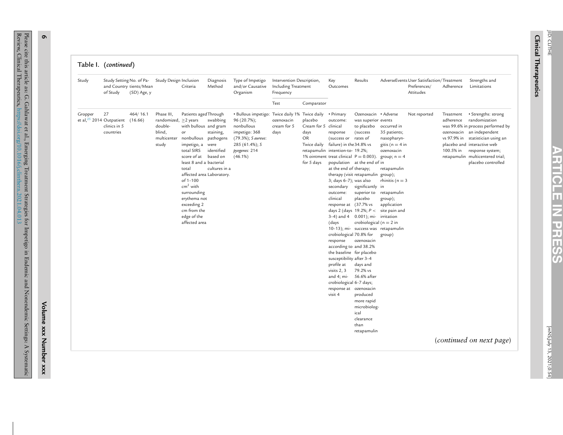| Table I. | (continued) |
|----------|-------------|
|----------|-------------|

**6**

Please cite this article as: G.

Review,

Clinical

Therapeutics,

Gahlawat

et al.,

Emerging

<https://doi.org/10.1016/j.clinthera.2021.04.013>

Treatment

Strategies

for

Impetigo

in

Endemic

and

Nonendemic

Settings: A Systematic

**Volume**

**xxx**

**Number**

**xxx**

| Study   | Study Setting No. of Pa-<br>and Country tients/Mean<br>(SD) Age, y<br>of Study        | Study Design Inclusion                                                                | Criteria                                                                                                                                                                                                                                                                                               | Diagnosis<br>Method                                                                   | Type of Impetigo<br>and/or Causative<br>Organism                                                                                                                           | Intervention Description,<br>Including Treatment<br>Frequency |                                                             | Key<br>Outcomes                                                                                                                                                                                                                                                                                                                                                                                                                                                                            | Results                                                                                                                                                                                                                                                                                                                                                                                                                                          |                                                                                                                                                                                                                                                                             | AdverseEvents User Satisfaction/Treatment<br>Preferences/<br>Attitudes | Adherence                           | Strengths and<br>Limitations                                                                                                                                                                                                                                                         |
|---------|---------------------------------------------------------------------------------------|---------------------------------------------------------------------------------------|--------------------------------------------------------------------------------------------------------------------------------------------------------------------------------------------------------------------------------------------------------------------------------------------------------|---------------------------------------------------------------------------------------|----------------------------------------------------------------------------------------------------------------------------------------------------------------------------|---------------------------------------------------------------|-------------------------------------------------------------|--------------------------------------------------------------------------------------------------------------------------------------------------------------------------------------------------------------------------------------------------------------------------------------------------------------------------------------------------------------------------------------------------------------------------------------------------------------------------------------------|--------------------------------------------------------------------------------------------------------------------------------------------------------------------------------------------------------------------------------------------------------------------------------------------------------------------------------------------------------------------------------------------------------------------------------------------------|-----------------------------------------------------------------------------------------------------------------------------------------------------------------------------------------------------------------------------------------------------------------------------|------------------------------------------------------------------------|-------------------------------------|--------------------------------------------------------------------------------------------------------------------------------------------------------------------------------------------------------------------------------------------------------------------------------------|
|         |                                                                                       |                                                                                       |                                                                                                                                                                                                                                                                                                        |                                                                                       |                                                                                                                                                                            | Test                                                          | Comparator                                                  |                                                                                                                                                                                                                                                                                                                                                                                                                                                                                            |                                                                                                                                                                                                                                                                                                                                                                                                                                                  |                                                                                                                                                                                                                                                                             |                                                                        |                                     |                                                                                                                                                                                                                                                                                      |
| Gropper | 27<br>464/16.1<br>et al, $25$ 2014 Outpatient<br>(16.66)<br>clinics in 5<br>countries | Phase III,<br>randomized, $\geq$ 2 years<br>double-<br>blind,<br>multicenter<br>study | Patients aged Through<br>with bullous and gram<br>or<br>nonbullous<br>impetigo, a<br>total SIRS<br>score of at<br>least 8 and a bacterial<br>total<br>affected area Laboratory.<br>of 1-100<br>$cm2$ with<br>surrounding<br>erythema not<br>exceeding 2<br>cm from the<br>edge of the<br>affected area | swabbing<br>staining,<br>pathogens<br>were<br>identified<br>based on<br>cultures in a | • Bullous impetigo: Twice daily 1% Twice daily • Primary<br>96 (20.7%);<br>nonbullous<br>impetigo: 368<br>(79.3%); S aureus:<br>285 (61.4%); S<br>pyogenes: 214<br>(46.1%) | ozenoxacin<br>cream for 5<br>days                             | placebo<br>Cream for 5 clinical<br>days<br>OR<br>for 5 days | outcome:<br>response<br>(success or<br>Twice daily failure) in the 34.8% vs<br>retapamulin intention-to- 19.2%;<br>at the end of therapy;<br>3; days 6-7); was also<br>secondary<br>outcome:<br>clinical<br>response at (37.7% vs<br>(days<br>crobiological 70.8% for<br>response<br>according to and 38.2%<br>the baseline for placebo<br>susceptibility after 3-4<br>profile at<br>visits 2, 3<br>and 4; mi- 56.6% after<br>crobiological 6-7 days;<br>response at ozenoxacin<br>visit 4 | Ozenoxacin • Adverse<br>was superior events<br>to placebo<br>(success)<br>rates of<br>population at the end of in<br>therapy (visit retapamulin group);<br>significantly in<br>superior to<br>placebo<br>$3-4$ ) and $4$ 0.001); mi- irritation<br>crobiological ( $n = 2$ in<br>10-13); mi- success was retapamulin<br>ozenoxacin<br>days and<br>79.2% vs<br>produced<br>more rapid<br>microbiolog-<br>ical<br>clearance<br>than<br>retapamulin | occurred in<br>35 patients;<br>nasopharyn-<br>gitis ( $n = 4$ in<br>ozenoxacin<br>1% ointment treat clinical $P = 0.003$ ). group; n = 4<br>retapamulin<br>rhinitis ( $n = 3$<br>retapamulin<br>group);<br>application<br>days 2 (days 19.2%; $P <$ site pain and<br>group) | Not reported                                                           | Treatment<br>adherence<br>100.5% in | • Strengths: strong<br>randomization<br>was 99.6% in process performed by<br>ozenoxacin an independent<br>vs 97.9% in statistician using an<br>placebo and interactive web<br>response system;<br>retapamulin multicentered trial;<br>placebo controlled<br>(continued on next page) |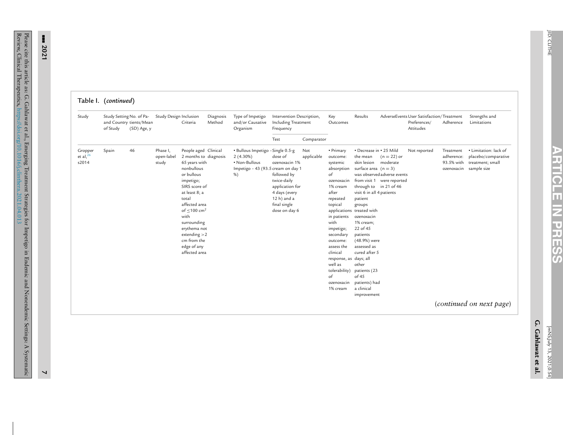| ١<br>ľ |
|--------|
|        |
|        |
|        |
|        |
|        |
|        |
|        |
|        |
|        |
| Π      |
|        |
|        |

**PRESS**

|                                    | Table I. (continued) |                                                                                              |                                 |                                                                                                                                                                                                                                                                                                            |                     |                                                                                                                  |                                                                                                                                            |                   |                                                                                                                                                                                                                                                                                              |                                                                                                                                                                                                                                                                                                                                                                                   |                                                                            |                                                                        |                                       |                                                                                            |
|------------------------------------|----------------------|----------------------------------------------------------------------------------------------|---------------------------------|------------------------------------------------------------------------------------------------------------------------------------------------------------------------------------------------------------------------------------------------------------------------------------------------------------|---------------------|------------------------------------------------------------------------------------------------------------------|--------------------------------------------------------------------------------------------------------------------------------------------|-------------------|----------------------------------------------------------------------------------------------------------------------------------------------------------------------------------------------------------------------------------------------------------------------------------------------|-----------------------------------------------------------------------------------------------------------------------------------------------------------------------------------------------------------------------------------------------------------------------------------------------------------------------------------------------------------------------------------|----------------------------------------------------------------------------|------------------------------------------------------------------------|---------------------------------------|--------------------------------------------------------------------------------------------|
| Study                              | of Study             | Study Setting No. of Pa-<br>Study Design Inclusion<br>and Country tients/Mean<br>(SD) Age, y |                                 | Criteria                                                                                                                                                                                                                                                                                                   | Diagnosis<br>Method | Type of Impetigo<br>and/or Causative<br>Organism                                                                 | Intervention Description,<br>Including Treatment<br>Frequency                                                                              |                   | Key<br>Outcomes                                                                                                                                                                                                                                                                              | Results                                                                                                                                                                                                                                                                                                                                                                           |                                                                            | AdverseEvents User Satisfaction/Treatment<br>Preferences/<br>Attitudes | Adherence                             | Strengths and<br>Limitations                                                               |
|                                    |                      |                                                                                              |                                 |                                                                                                                                                                                                                                                                                                            |                     |                                                                                                                  | Test                                                                                                                                       | Comparator        |                                                                                                                                                                                                                                                                                              |                                                                                                                                                                                                                                                                                                                                                                                   |                                                                            |                                                                        |                                       |                                                                                            |
| Gropper<br>et al, $^{26}$<br>s2014 | Spain                | 46                                                                                           | Phase I,<br>open-label<br>study | People aged Clinical<br>2 months to diagnosis<br>65 years with<br>nonbullous<br>or bullous<br>impetigo;<br>SIRS score of<br>at least 8; a<br>total<br>affected area<br>of $< 100$ cm <sup>2</sup><br>with<br>surrounding<br>erythema not<br>$extending > 2$<br>cm from the<br>edge of any<br>affected area |                     | · Bullous Impetigo - Single 0.5-g<br>$2(4.30\%)$<br>• Non-Bullous<br>Impetigo - 43 (93.5 cream on day 1<br>$%$ ) | dose of<br>ozenoxacin 1%<br>followed by<br>twice-daily<br>application for<br>4 days (every<br>12 h) and a<br>final single<br>dose on day 6 | Not<br>applicable | • Primary<br>outcome:<br>systemic<br>absorption<br>of<br>ozenoxacin<br>1% cream<br>after<br>repeated<br>topical<br>in patients<br>with<br>impetigo;<br>secondary<br>outcome:<br>assess the<br>clinical<br>response, as days; all<br>well as<br>tolerability)<br>of<br>ozenoxacin<br>1% cream | • Decrease in • 25 Mild<br>the mean<br>skin lesion moderate<br>surface area $(n = 3)$<br>through to in 21 of 46<br>visit 6 in all 4 patients<br>patient<br>groups<br>applications treated with<br>ozenoxacin<br>1% cream;<br>22 of 45<br>patients<br>(48.9%) were<br>assessed as<br>cured after 5<br>other<br>patients (23<br>of 45<br>patients) had<br>a clinical<br>improvement | $(n = 22)$ or<br>was observed adverse events<br>from visit 1 were reported | Not reported                                                           | Treatment<br>adherence:<br>93.5% with | · Limitation: lack of<br>placebo/comparative<br>treatment; small<br>ozenoxacin sample size |
|                                    |                      |                                                                                              |                                 |                                                                                                                                                                                                                                                                                                            |                     |                                                                                                                  |                                                                                                                                            |                   |                                                                                                                                                                                                                                                                                              |                                                                                                                                                                                                                                                                                                                                                                                   |                                                                            |                                                                        |                                       | (continued on next page)                                                                   |

--- **2021**

Please cite

Review,

this article as: G. Gahlawat et al., Emerging Treatment Strategies for Impetigo in Endemic and Nonendemic Settings: A Systematic Clinical Therapeutics, <https://doi.org/10.1016/j.clinthera.2021.04.013>

**7**

JID: CLITHE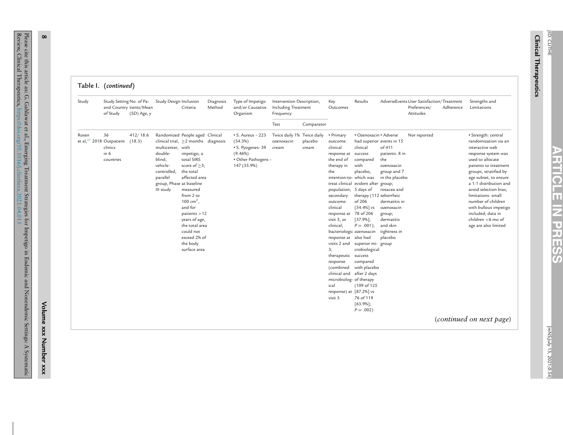| Table I. | (continued |
|----------|------------|
|          |            |

| Test<br>Comparator<br>36<br>412/18.6<br>Randomized People aged Clinical<br>$\cdot$ S. Aureus - 223<br>Twice daily 1% Twice daily<br>• Primary<br>· Ozenoxacin · Adverse<br>· Strength: central<br>Nor reported<br>et al, $27$ 2018 Outpatient (18.3)<br>clinical trial, $\geq$ 2 months diagnosis<br>(54.3%)<br>had superior events in 15<br>randomization via an<br>ozenoxacin<br>placebo<br>outcome:<br>clinics<br>multicenter, with<br>· S. Pyogenes- 39<br>clinical<br>clinical<br>of 411<br>interactive web<br>cream<br>cream<br>in 6<br>double-<br>(9.46%)<br>patients: 8 in<br>impetigo, a<br>response at success<br>response system was<br>total SIRS<br>· Other Pathogens -<br>blind,<br>the end of<br>the<br>used to allocate<br>countries<br>compared<br>vehicle-<br>147 (35.9%)<br>score of $\geq$ 3;<br>therapy in<br>with<br>ozenoxacin<br>patients to treatment<br>the total<br>controlled,<br>the<br>placebo,<br>group and 7<br>groups, stratified by<br>intention-to- which was<br>parallel<br>affected area<br>in the placebo<br>age subset, to ensure<br>group, Phase at baseline<br>treat clinical evident after group;<br>a 1:1 distribution and<br>avoid selection bias;<br>III study<br>measured<br>population; 5 days of<br>rosacea and<br>from 2 to<br>secondary<br>therapy (112 seborrheic<br>limitations: small<br>100 cm <sup>2</sup> ,<br>of 206<br>dermatitis in<br>number of children<br>outcome:<br>and for<br>clinical<br>$[54.4\%]$ vs<br>ozenoxacin<br>with bullous impetigo<br>patients > 12<br>response at 78 of 206<br>included; data in<br>group;<br>visit 3, or<br>$[37.9\%];$<br>children <6 mo of<br>years of age,<br>dermatitis<br>the total area<br>$P = .001$ ;<br>and skin<br>clinical;<br>age are also limited<br>could not<br>bacteriologic ozenoxacin<br>tightness in<br>exceed 2% of<br>response at also had<br>placebo<br>the body<br>visits 2 and superior mi- group<br>surface area<br>3;<br>crobiological<br>therapeutic success<br>compared<br>response<br>(combined<br>with placebo<br>clinical and after 2 days<br>microbiolog- of therapy<br>(109 of 125)<br>ical<br>response) at [87.2%] vs<br>76 of 119<br>visit 3<br>$[63.9\%];$ | Study | Study Setting No. of Pa-<br>of Study | and Country tients/Mean<br>(SD) Age, y | Study Design Inclusion | Criteria | Diagnosis<br>Method | Type of Impetigo<br>and/or Causative<br>Organism | Intervention Description,<br>Including Treatment<br>Frequency | Key<br>Outcomes | Results    | AdverseEvents User Satisfaction/Treatment<br>Preferences/<br>Attitudes | Adherence | Strengths and<br>Limitations |
|-----------------------------------------------------------------------------------------------------------------------------------------------------------------------------------------------------------------------------------------------------------------------------------------------------------------------------------------------------------------------------------------------------------------------------------------------------------------------------------------------------------------------------------------------------------------------------------------------------------------------------------------------------------------------------------------------------------------------------------------------------------------------------------------------------------------------------------------------------------------------------------------------------------------------------------------------------------------------------------------------------------------------------------------------------------------------------------------------------------------------------------------------------------------------------------------------------------------------------------------------------------------------------------------------------------------------------------------------------------------------------------------------------------------------------------------------------------------------------------------------------------------------------------------------------------------------------------------------------------------------------------------------------------------------------------------------------------------------------------------------------------------------------------------------------------------------------------------------------------------------------------------------------------------------------------------------------------------------------------------------------------------------------------------------------------------------------------------------------------------------------------------------------------------------------------------------|-------|--------------------------------------|----------------------------------------|------------------------|----------|---------------------|--------------------------------------------------|---------------------------------------------------------------|-----------------|------------|------------------------------------------------------------------------|-----------|------------------------------|
|                                                                                                                                                                                                                                                                                                                                                                                                                                                                                                                                                                                                                                                                                                                                                                                                                                                                                                                                                                                                                                                                                                                                                                                                                                                                                                                                                                                                                                                                                                                                                                                                                                                                                                                                                                                                                                                                                                                                                                                                                                                                                                                                                                                               |       |                                      |                                        |                        |          |                     |                                                  |                                                               |                 |            |                                                                        |           |                              |
| (continued on next page)                                                                                                                                                                                                                                                                                                                                                                                                                                                                                                                                                                                                                                                                                                                                                                                                                                                                                                                                                                                                                                                                                                                                                                                                                                                                                                                                                                                                                                                                                                                                                                                                                                                                                                                                                                                                                                                                                                                                                                                                                                                                                                                                                                      | Rosen |                                      |                                        |                        |          |                     |                                                  |                                                               |                 | $P = .002$ |                                                                        |           |                              |

**Volume**

**xxx**

**Number**

**xxx**

**8**

JID: CLITHE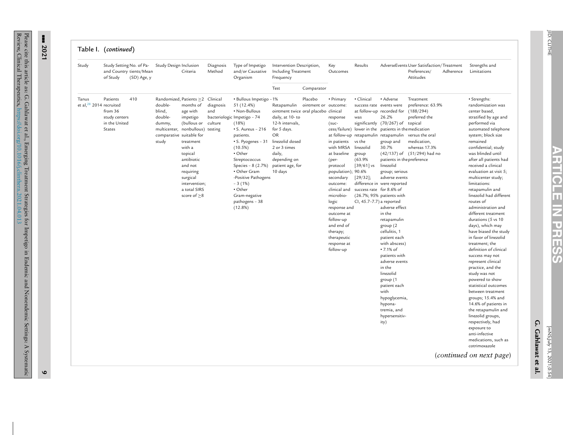| ŗ |  |
|---|--|

| Study                               | of Study                                                               | Study Setting No. of Pa-<br>and Country tients/Mean<br>(SD) Age, y | Study Design Inclusion                                                                                          | Criteria                                                                                                                                                                                                                       | Diagnosis<br>Method         | Type of Impetigo<br>and/or Causative<br>Organism                                                                                                                                                                                                                                                                                                         | Intervention Description,<br>Including Treatment<br>Frequency                                                                                                                                  |                                 | Key<br>Outcomes                                                                                                                                                                                                                                                                                       | Results                                                                                                                                                                                   |                                                                                                                                                                                                                                                                                                                                                                                                                                                                                                                                                                                                                                                  | AdverseEvents User Satisfaction/Treatment<br>Preferences/<br>Attitudes                                                                         | Adherence | Strengths and<br>Limitations                                                                                                                                                                                                                                                                                                                                                                                                                                                                                                                                                                                                                                                                                                                                                                                                                                                                                                          |
|-------------------------------------|------------------------------------------------------------------------|--------------------------------------------------------------------|-----------------------------------------------------------------------------------------------------------------|--------------------------------------------------------------------------------------------------------------------------------------------------------------------------------------------------------------------------------|-----------------------------|----------------------------------------------------------------------------------------------------------------------------------------------------------------------------------------------------------------------------------------------------------------------------------------------------------------------------------------------------------|------------------------------------------------------------------------------------------------------------------------------------------------------------------------------------------------|---------------------------------|-------------------------------------------------------------------------------------------------------------------------------------------------------------------------------------------------------------------------------------------------------------------------------------------------------|-------------------------------------------------------------------------------------------------------------------------------------------------------------------------------------------|--------------------------------------------------------------------------------------------------------------------------------------------------------------------------------------------------------------------------------------------------------------------------------------------------------------------------------------------------------------------------------------------------------------------------------------------------------------------------------------------------------------------------------------------------------------------------------------------------------------------------------------------------|------------------------------------------------------------------------------------------------------------------------------------------------|-----------|---------------------------------------------------------------------------------------------------------------------------------------------------------------------------------------------------------------------------------------------------------------------------------------------------------------------------------------------------------------------------------------------------------------------------------------------------------------------------------------------------------------------------------------------------------------------------------------------------------------------------------------------------------------------------------------------------------------------------------------------------------------------------------------------------------------------------------------------------------------------------------------------------------------------------------------|
|                                     |                                                                        |                                                                    |                                                                                                                 |                                                                                                                                                                                                                                |                             |                                                                                                                                                                                                                                                                                                                                                          | Test                                                                                                                                                                                           | Comparator                      |                                                                                                                                                                                                                                                                                                       |                                                                                                                                                                                           |                                                                                                                                                                                                                                                                                                                                                                                                                                                                                                                                                                                                                                                  |                                                                                                                                                |           |                                                                                                                                                                                                                                                                                                                                                                                                                                                                                                                                                                                                                                                                                                                                                                                                                                                                                                                                       |
| Tanus<br>et al, $28$ 2014 recruited | Patients<br>from 36<br>study centers<br>in the United<br><b>States</b> | 410                                                                | double-<br>blind,<br>double-<br>dummy,<br>multicenter, nonbullous) testing<br>comparative suitable for<br>study | Randomized, Patients ≥2 Clinical<br>months of<br>age with<br>impetigo<br>(bullous or<br>treatment<br>with a<br>topical<br>antibiotic<br>and not<br>requiring<br>surgical<br>intervention;<br>a total SIRS<br>score of $\geq 8$ | diagnosis<br>and<br>culture | · Bullous Impetigo - 1%<br>51 (12.4%)<br>• Non-Bullous<br>bacteriologic Impetigo - 74<br>(18%)<br>$\cdot$ S. Aureus - 216<br>patients.<br>• S. Pyogenes - 31 linezolid dosed<br>$(10.5\%)$<br>• Other<br>Streptococcus<br>Species - 8 (2.7%)<br>· Other Gram<br>-Positive Pathogens<br>$-3(1%)$<br>• Other<br>Gram-negative<br>pathogens - 38<br>(12.8%) | Retapamulin<br>ointment twice oral placebo clinical<br>daily, at 10-to<br>12-h intervals,<br>for 5 days.<br><b>OR</b><br>2 or 3 times<br>daily,<br>depending on<br>patient age, for<br>10 days | Placebo<br>ointment or outcome: | • Primary<br>response<br>$(suc-$<br>in patients<br>with MRSA<br>at baseline<br>(per-<br>protocol<br>population); 90.6%<br>secondary<br>outcome:<br>clinical and<br>microbio-<br>logic<br>response and<br>outcome at<br>follow-up<br>and end of<br>therapy;<br>therapeutic<br>response at<br>follow-up | · Clinical<br>success rate events were<br>was<br>vs the<br>linezolid<br>group<br>(63.9%<br>$\left[39/61\right]$ vs<br>$[29/32]$ ;<br>success rate for 8.6% of<br>CI, 45.7-7.7) a reported | • Adverse<br>at follow-up recorded for<br>26.2%<br>significantly (70/267) of topical<br>cess/failure) lower in the patients in the medication<br>at follow-up retapamulin retapamulin<br>group and<br>30.7%<br>patients in the preference<br>linezolid<br>group; serious<br>adverse events<br>difference in were reported<br>(26.7%; 95% patients with<br>adverse effect<br>in the<br>retapamulin<br>group (2)<br>cellulitis, 1<br>patient each<br>with abscess)<br>• 7.1% of<br>patients with<br>adverse events<br>in the<br>linezolid<br>group (1<br>patient each<br>with<br>hypoglycemia,<br>hypona-<br>tremia, and<br>hypersensitiv-<br>ity) | Treatment<br>preference: 63.9%<br>(188/294)<br>preferred the<br>versus the oral<br>medication,<br>whereas 17.3%<br>(42/137) of (51/294) had no |           | · Strengths:<br>randomization was<br>center based,<br>stratified by age and<br>performed via<br>automated telephone<br>system; block size<br>remained<br>confidential; study<br>was blinded until<br>after all patients had<br>received a clinical<br>evaluation at visit 5;<br>multicenter study;<br>limitations:<br>retapamulin and<br>linezolid had different<br>routes of<br>administration and<br>different treatment<br>durations (5 vs 10<br>days), which may<br>have biased the study<br>in favor of linezolid<br>treatment; the<br>definition of clinical<br>success may not<br>represent clinical<br>practice, and the<br>study was not<br>powered to show<br>statistical outcomes<br>between treatment<br>groups; 15.4% and<br>14.6% of patients in<br>the retapamulin and<br>linezolid groups,<br>respectively, had<br>exposure to<br>anti-infective<br>medications, such as<br>cotrimoxazole<br>(continued on next page) |

# --- **2021**

Please

cite this article as: G. Gahlawat et al., Emerging Treatment Strategies for Impetigo in Endemic and Nonendemic Settings: A Systematic Review, Clinical Therapeutics, <https://doi.org/10.1016/j.clinthera.2021.04.013>

**9**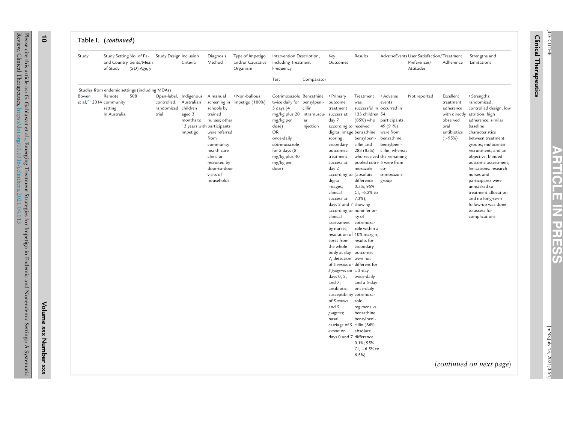| Study                                                                                 | Study Setting No. of Pa-<br>of Study | and Country tients/Mean<br>(SD) Age, y | Study Design Inclusion                      | Criteria                                                                                                       | Diagnosis<br>Method                                                                                                                                                 | Type of Impetigo<br>and/or Causative<br>Organism | Intervention Description,<br>Including Treatment<br>Frequency                                                                                                                                                        |                            | Key<br>Outcomes                                                                                                                                                                                                                                                                                                                                                                                                                                                                                                                   | Results                                                                                                                                                                                                                                                                                           |                                                                                                                                                                            | AdverseEvents User Satisfaction/Treatment<br>Preferences/<br>Attitudes | Adherence                                                                          | Strengths and<br>Limitations                                                                                                                                                                                                                                                                                                                                                                                                               |
|---------------------------------------------------------------------------------------|--------------------------------------|----------------------------------------|---------------------------------------------|----------------------------------------------------------------------------------------------------------------|---------------------------------------------------------------------------------------------------------------------------------------------------------------------|--------------------------------------------------|----------------------------------------------------------------------------------------------------------------------------------------------------------------------------------------------------------------------|----------------------------|-----------------------------------------------------------------------------------------------------------------------------------------------------------------------------------------------------------------------------------------------------------------------------------------------------------------------------------------------------------------------------------------------------------------------------------------------------------------------------------------------------------------------------------|---------------------------------------------------------------------------------------------------------------------------------------------------------------------------------------------------------------------------------------------------------------------------------------------------|----------------------------------------------------------------------------------------------------------------------------------------------------------------------------|------------------------------------------------------------------------|------------------------------------------------------------------------------------|--------------------------------------------------------------------------------------------------------------------------------------------------------------------------------------------------------------------------------------------------------------------------------------------------------------------------------------------------------------------------------------------------------------------------------------------|
|                                                                                       |                                      |                                        |                                             |                                                                                                                |                                                                                                                                                                     |                                                  | Test                                                                                                                                                                                                                 | Comparator                 |                                                                                                                                                                                                                                                                                                                                                                                                                                                                                                                                   |                                                                                                                                                                                                                                                                                                   |                                                                                                                                                                            |                                                                        |                                                                                    |                                                                                                                                                                                                                                                                                                                                                                                                                                            |
| Studies from endemic settings (including MDAs)<br>Bowen<br>et al, $23$ 2014 community | Remote<br>setting<br>In Australia    | 508                                    | controlled,<br>randomized children<br>trial | Open-label, Indigenous A manual<br>Australian<br>aged 3<br>months to<br>13 years with participants<br>impetigo | schools by<br>trained<br>nurses; other<br>were referred<br>from<br>community<br>health care<br>clinic or<br>recruited by<br>door-to-door<br>visits of<br>households | • Non-bullous<br>screening in impetigo (100%)    | Cotrimoxazole Benzathine<br>twice daily for benzylpeni-<br>3 days (4<br>mg/kg plus 20 intramuscu-<br>mg/kg per<br>dose)<br>OR<br>once-daily<br>cotrimoxazole<br>for 5 days (8<br>mg/kg plus 40<br>mg/kg per<br>dose) | cillin<br>lar<br>injection | • Primary<br>outcome:<br>treatment<br>success at<br>day 7<br>according to received<br>digital image benzathine<br>scoring;<br>secondary<br>outcomes:<br>treatment<br>success at<br>day 2<br>according to (absolute<br>digital<br>images;<br>clinical<br>success at<br>days 2 and 7 showing<br>according to noninferior-<br>clinical<br>assessment<br>by nurses;<br>resolution of 10% margin;<br>sores from<br>the whole<br>body at day outcomes<br>7; detection were not<br>of S aureus or different for<br>S pyogenes on a 3-day | Treatment<br>was<br>successful in occurred in<br>133 children 54<br>(85%) who<br>benzylpeni-<br>cillin and<br>283 (85%)<br>pooled cotri- 5 were from<br>moxazole<br>difference<br>0.5%; 95%<br>$Cl, -6.2\%$ to<br>$7.3\%$ ),<br>ity of<br>cotrimoxa-<br>zole within a<br>results for<br>secondary | • Adverse<br>events<br>participants;<br>49 (91%)<br>were from<br>benzathine<br>benzylpeni-<br>cillin, whereas<br>who received the remaining<br>co-<br>trimoxazole<br>group | Not reported                                                           | Excellent<br>treatment<br>adherence<br>observed<br>oral<br>antibiotics<br>( > 95%) | · Strengths:<br>randomized,<br>controlled design; low<br>with directly attrition; high<br>adherence; similar<br>baseline<br>characteristics<br>between treatment<br>groups; multicenter<br>recruitment; and an<br>objective, blinded<br>outcome assessment;<br>limitations: research<br>nurses and<br>participants were<br>unmasked to<br>treatment allocation<br>and no long-term<br>follow-up was done<br>to assess for<br>complications |
|                                                                                       |                                      |                                        |                                             |                                                                                                                |                                                                                                                                                                     |                                                  |                                                                                                                                                                                                                      |                            | days 0, 2,<br>and $7$ ;<br>antibiotic<br>susceptibility cotrimoxa-<br>of S aureus<br>and S<br>pyogenes;<br>nasal<br>carriage of S cillin (86%;<br>aureus on<br>days 0 and 7 difference,                                                                                                                                                                                                                                                                                                                                           | twice-daily<br>and a 5-day<br>once-daily<br>zole<br>regimens vs<br>benzathine<br>benzylpeni-<br>absolute<br>0.1%; 95%<br>$Cl, -6.5\%$ to<br>6.5%                                                                                                                                                  |                                                                                                                                                                            |                                                                        |                                                                                    | (continued on next page)                                                                                                                                                                                                                                                                                                                                                                                                                   |

Please

**10**

**Volume**

**xxx**

**Number**

**xxx**

[mNS;July 13,

CLITHE

JID:

**ARTICLE**

**IZ** 

**PRESS**

**Clinical Therapeutics Therapeutics**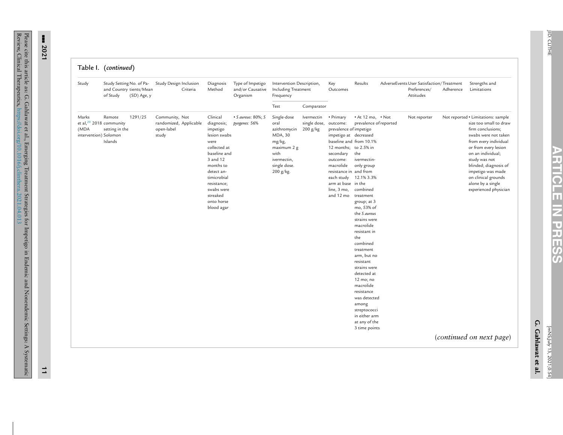| Table I. |  | (continued) |
|----------|--|-------------|
|          |  |             |

| Study                                  | and Country tients/Mean<br>of Study                               | Study Setting No. of Pa-<br>(SD) Age, y | Study Design Inclusion<br>Criteria                              | Diagnosis<br>Method                                                                                                                                                                                                   | Type of Impetigo<br>and/or Causative<br>Organism | Intervention Description,<br>Including Treatment<br>Frequency                                                               |                                          | Key<br>Outcomes                                                                                                                                                                                                                   | Results                                                                                                                                                                                                                                                                                                                                                                                                                                                                                | AdverseEvents User Satisfaction/Treatment<br>Preferences/<br>Attitudes | Adherence | Strengths and<br>Limitations                                                                                                                                                                                                                                                                                                                    |
|----------------------------------------|-------------------------------------------------------------------|-----------------------------------------|-----------------------------------------------------------------|-----------------------------------------------------------------------------------------------------------------------------------------------------------------------------------------------------------------------|--------------------------------------------------|-----------------------------------------------------------------------------------------------------------------------------|------------------------------------------|-----------------------------------------------------------------------------------------------------------------------------------------------------------------------------------------------------------------------------------|----------------------------------------------------------------------------------------------------------------------------------------------------------------------------------------------------------------------------------------------------------------------------------------------------------------------------------------------------------------------------------------------------------------------------------------------------------------------------------------|------------------------------------------------------------------------|-----------|-------------------------------------------------------------------------------------------------------------------------------------------------------------------------------------------------------------------------------------------------------------------------------------------------------------------------------------------------|
|                                        |                                                                   |                                         |                                                                 |                                                                                                                                                                                                                       |                                                  | Test                                                                                                                        | Comparator                               |                                                                                                                                                                                                                                   |                                                                                                                                                                                                                                                                                                                                                                                                                                                                                        |                                                                        |           |                                                                                                                                                                                                                                                                                                                                                 |
| Marks<br>(MDA<br>intervention) Solomon | Remote<br>et al, $29$ 2018 community<br>setting in the<br>Islands | 1291/25                                 | Community, Not<br>randomized, Applicable<br>open-label<br>study | Clinical<br>diagnosis;<br>impetigo<br>lesion swabs<br>were<br>collected at<br>baseline and<br>3 and 12<br>months to<br>detect an-<br>timicrobial<br>resistance;<br>swabs were<br>streaked<br>onto horse<br>blood agar | $\bullet$ S aureus: 80%; S<br>pyogenes: 56%      | Single-dose<br>oral<br>azithromycin<br>MDA, 30<br>mg/kg,<br>maximum 2 g<br>with<br>ivermectin,<br>single dose.<br>200 g/kg. | lvermectin<br>single dose,<br>$200$ g/kg | • Primary<br>outcome:<br>prevalence of impetigo<br>impetigo at decreased<br>12 months; to 2.5% in<br>secondary<br>outcome:<br>macrolide<br>resistance in and from<br>each study<br>arm at base in the<br>line, 3 mo,<br>and 12 mo | $\cdot$ At 12 mo, $\cdot$ Not<br>prevalence of reported<br>baseline and from 10.1%<br>the<br>ivermectin-<br>only group<br>12.1% 3.3%<br>combined<br>treatment<br>group; at 3<br>mo, 53% of<br>the S aureus<br>strains were<br>macrolide<br>resistant in<br>the<br>combined<br>treatment<br>arm, but no<br>resistant<br>strains were<br>detected at<br>12 mo; no<br>macrolide<br>resistance<br>was detected<br>among<br>streptococci<br>in either arm<br>at any of the<br>3 time points | Not reporter                                                           |           | Not reported • Limitations: sample<br>size too small to draw<br>firm conclusions;<br>swabs were not taken<br>from every individual<br>or from every lesion<br>on an individual;<br>study was not<br>blinded; diagnosis of<br>impetigo was made<br>on clinical grounds<br>alone by a single<br>experienced physician<br>(continued on next page) |

Please

--- **2021**

**ARTICLE**

**IZ** 

**PRESS**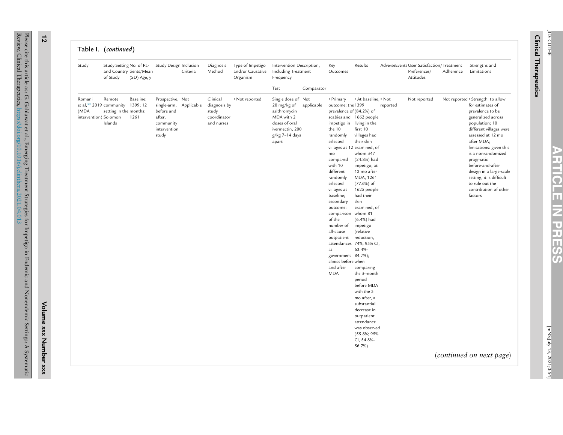Please cite

Review,

**12**

**Volume**

**xxx**

**Number**

**xxx**

**PRESS** [mNS;July

**ARTICLE**

**IZ**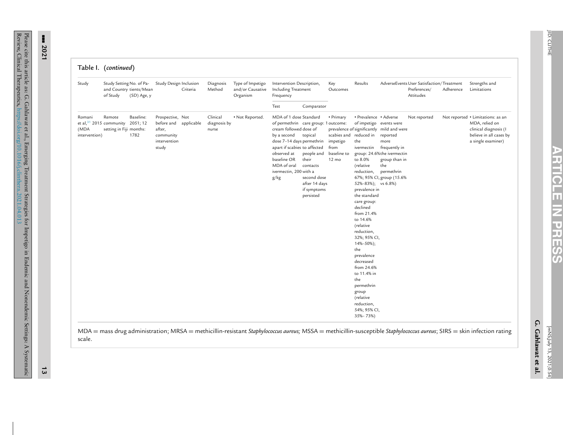| Study                           | of Study                                                                          | Study Setting No. of Pa-<br>and Country tients/Mean<br>(SD) Age, y | Study Design Inclusion                                                                    | Criteria | Diagnosis<br>Method               | Type of Impetigo<br>and/or Causative<br>Organism | Intervention Description,<br>Including Treatment<br>Frequency                                                                                                                                               |                                                                                                                                                | Key<br>Outcomes                                                                | Results                                                                                                                                                                                                                                                                                                                                                                                                                                                  |                                                                                                                                                                                 | AdverseEvents User Satisfaction/Treatment<br>Preferences/<br>Attitudes | Adherence | Strengths and<br>Limitations                                                                                                                                           |
|---------------------------------|-----------------------------------------------------------------------------------|--------------------------------------------------------------------|-------------------------------------------------------------------------------------------|----------|-----------------------------------|--------------------------------------------------|-------------------------------------------------------------------------------------------------------------------------------------------------------------------------------------------------------------|------------------------------------------------------------------------------------------------------------------------------------------------|--------------------------------------------------------------------------------|----------------------------------------------------------------------------------------------------------------------------------------------------------------------------------------------------------------------------------------------------------------------------------------------------------------------------------------------------------------------------------------------------------------------------------------------------------|---------------------------------------------------------------------------------------------------------------------------------------------------------------------------------|------------------------------------------------------------------------|-----------|------------------------------------------------------------------------------------------------------------------------------------------------------------------------|
|                                 |                                                                                   |                                                                    |                                                                                           |          |                                   |                                                  | Test                                                                                                                                                                                                        | Comparator                                                                                                                                     |                                                                                |                                                                                                                                                                                                                                                                                                                                                                                                                                                          |                                                                                                                                                                                 |                                                                        |           |                                                                                                                                                                        |
| Romani<br>(MDA<br>intervention) | Remote<br>et al, <sup>31</sup> 2015 community 2051; 12<br>setting in Fiji months: | Baseline:<br>1782                                                  | Prospective, Not<br>before and applicable<br>after,<br>community<br>intervention<br>study |          | Clinical<br>diagnosis by<br>nurse | • Not Reported.                                  | MDA of 1 dose Standard<br>cream followed dose of<br>by a second<br>dose 7-14 days permethrin<br>apart if scabies to affected<br>observed at<br>baseline OR<br>MDA of oral<br>ivermectin, 200 with a<br>g/kg | of permethrin care group: 1 outcome:<br>topical<br>people and<br>their<br>contacts<br>second dose<br>after 14 days<br>if symptoms<br>persisted | • Primary<br>scabies and<br>impetigo<br>from<br>baseline to<br>$12 \text{ mo}$ | • Prevalence • Adverse<br>of impetigo events were<br>reduced in<br>the<br>ivermectin<br>to 8.0%<br>(relative<br>reduction,<br>52%-83%); vs 6.8%)<br>prevalence in<br>the standard<br>care group:<br>declined<br>from 21.4%<br>to 14.6%<br>(relative<br>reduction,<br>32%; 95% CI,<br>$14\% - 50\%$ ;<br>the<br>prevalence<br>decreased<br>from 24.6%<br>to 11.4% in<br>the<br>permethrin<br>group<br>(relative<br>reduction,<br>54%; 95% CI,<br>35%-73%) | prevalence of significantly mild and were<br>reported<br>more<br>frequently in<br>group: 24.6%the ivermectin<br>group than in<br>the<br>permethrin<br>67%; 95% CI, group (15.6% | Not reported                                                           |           | Not reported • Limitations: as an<br>MDA, relied on<br>clinical diagnosis (I<br>believe in all cases by<br>a single examiner)                                          |
| scale.                          |                                                                                   |                                                                    |                                                                                           |          |                                   |                                                  |                                                                                                                                                                                                             |                                                                                                                                                |                                                                                |                                                                                                                                                                                                                                                                                                                                                                                                                                                          |                                                                                                                                                                                 |                                                                        |           | MDA = mass drug administration; MRSA = methicillin-resistant Staphylococcus aureus; MSSA = methicillin-susceptible Staphylococcus aureus; SIRS = skin infection rating |

--- **2021**

**13**

**ARTICLE**

**IZ** 

**PRESS**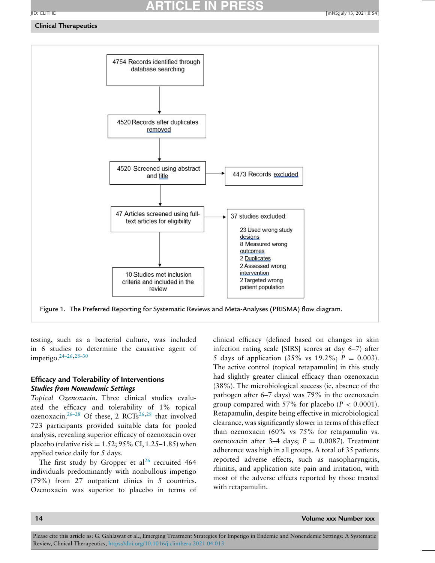# **ARTICLE IN PRESS**

### <span id="page-13-0"></span>**Clinical Therapeutics**



Figure 1. The Preferred Reporting for Systematic Reviews and Meta-Analyses (PRISMA) flow diagram.

testing, such as a bacterial culture, was included in 6 studies to determine the causative agent of impetigo[.24–26,28–30](#page-19-0)

### **Efficacy and Tolerability of Interventions** *Studies from Nonendemic Settings*

*Topical Ozenoxacin.* Three clinical studies evaluated the efficacy and tolerability of 1% topical ozenoxacin.<sup>26–28</sup> Of these, 2 RCTs<sup>[26,28](#page-19-0)</sup> that involved 723 participants provided suitable data for pooled analysis, revealing superior efficacy of ozenoxacin over placebo (relative risk =  $1.52$ ;  $95\%$  CI,  $1.25-1.85$ ) when applied twice daily for 5 days.

The first study by Gropper et  $al^{26}$  $al^{26}$  $al^{26}$  recruited 464 individuals predominantly with nonbullous impetigo (79%) from 27 outpatient clinics in 5 countries. Ozenoxacin was superior to placebo in terms of clinical efficacy (defined based on changes in skin infection rating scale [SIRS] scores at day 6–7) after 5 days of application  $(35\% \text{ vs } 19.2\%; P = 0.003)$ . The active control (topical retapamulin) in this study had slightly greater clinical efficacy than ozenoxacin (38%). The microbiological success (ie, absence of the pathogen after 6–7 days) was 79% in the ozenoxacin group compared with 57% for placebo  $(P < 0.0001)$ . Retapamulin, despite being effective in microbiological clearance, was significantly slower in terms of this effect than ozenoxacin (60% vs 75% for retapamulin vs. ozenoxacin after 3–4 days;  $P = 0.0087$ ). Treatment adherence was high in all groups. A total of 35 patients reported adverse effects, such as nasopharyngitis, rhinitis, and application site pain and irritation, with most of the adverse effects reported by those treated with retapamulin.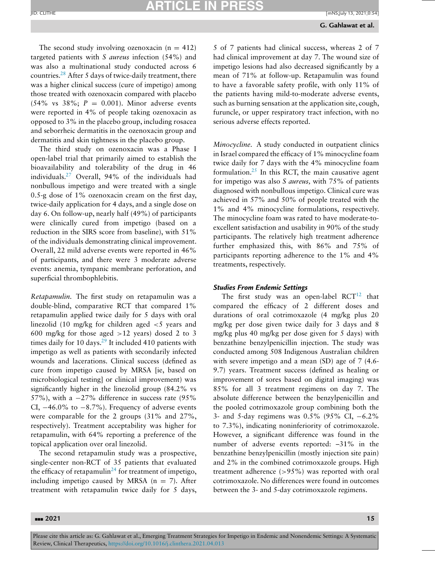### **ARTICLE IN PRESS** JID: CLITHE [mNS;July 13, 2021;0:54]

The second study involving ozenoxacin  $(n = 412)$ targeted patients with *S aureus* infection (54%) and was also a multinational study conducted across 6 countries[.28](#page-19-0) After 5 days of twice-daily treatment, there was a higher clinical success (cure of impetigo) among those treated with ozenoxacin compared with placebo  $(54\% \text{ vs } 38\%; P = 0.001)$ . Minor adverse events were reported in 4% of people taking ozenoxacin as opposed to 3% in the placebo group, including rosacea and seborrheic dermatitis in the ozenoxacin group and dermatitis and skin tightness in the placebo group.

The third study on ozenoxacin was a Phase I open-label trial that primarily aimed to establish the bioavailability and tolerability of the drug in 46 individuals[.27](#page-19-0) Overall, 94% of the individuals had nonbullous impetigo and were treated with a single 0.5-g dose of 1% ozenoxacin cream on the first day, twice-daily application for 4 days, and a single dose on day 6. On follow-up, nearly half (49%) of participants were clinically cured from impetigo (based on a reduction in the SIRS score from baseline), with 51% of the individuals demonstrating clinical improvement. Overall, 22 mild adverse events were reported in 46% of participants, and there were 3 moderate adverse events: anemia, tympanic membrane perforation, and superficial thrombophlebitis.

*Retapamulin.* The first study on retapamulin was a double-blind, comparative RCT that compared 1% retapamulin applied twice daily for 5 days with oral linezolid (10 mg/kg for children aged <5 years and 600 mg/kg for those aged  $>12$  years) dosed 2 to 3 times daily for 10 days. $29$  It included 410 patients with impetigo as well as patients with secondarily infected wounds and lacerations. Clinical success (defined as cure from impetigo caused by MRSA [ie, based on microbiological testing] or clinical improvement) was significantly higher in the linezolid group (84.2% vs 57%), with a  $-27\%$  difference in success rate (95% CI,  $-46.0\%$  to  $-8.7\%$ ). Frequency of adverse events were comparable for the 2 groups (31% and 27%, respectively). Treatment acceptability was higher for retapamulin, with 64% reporting a preference of the topical application over oral linezolid.

The second retapamulin study was a prospective, single-center non-RCT of 35 patients that evaluated the efficacy of retapamulin<sup>[24](#page-19-0)</sup> for treatment of impetigo, including impetigo caused by MRSA  $(n = 7)$ . After treatment with retapamulin twice daily for 5 days, 5 of 7 patients had clinical success, whereas 2 of 7 had clinical improvement at day 7. The wound size of impetigo lesions had also decreased significantly by a mean of 71% at follow-up. Retapamulin was found to have a favorable safety profile, with only 11% of the patients having mild-to-moderate adverse events, such as burning sensation at the application site, cough, furuncle, or upper respiratory tract infection, with no serious adverse effects reported.

*Minocycline.* A study conducted in outpatient clinics in Israel compared the efficacy of 1% minocycline foam twice daily for 7 days with the 4% minocycline foam formulation. $25$  In this RCT, the main causative agent for impetigo was also *S aureus,* with 75% of patients diagnosed with nonbullous impetigo. Clinical cure was achieved in 57% and 50% of people treated with the 1% and 4% minocycline formulations, respectively. The minocycline foam was rated to have moderate-toexcellent satisfaction and usability in 90% of the study participants. The relatively high treatment adherence further emphasized this, with 86% and 75% of participants reporting adherence to the 1% and 4% treatments, respectively.

### *Studies From Endemic Settings*

The first study was an open-label  $RCT^{12}$  $RCT^{12}$  $RCT^{12}$  that compared the efficacy of 2 different doses and durations of oral cotrimoxazole (4 mg/kg plus 20 mg/kg per dose given twice daily for 3 days and 8 mg/kg plus 40 mg/kg per dose given for 5 days) with benzathine benzylpenicillin injection. The study was conducted among 508 Indigenous Australian children with severe impetigo and a mean (SD) age of 7 (4.6- 9.7) years. Treatment success (defined as healing or improvement of sores based on digital imaging) was 85% for all 3 treatment regimens on day 7. The absolute difference between the benzylpenicillin and the pooled cotrimoxazole group combining both the 3- and 5-day regimens was 0.5% (95% CI, −6.2% to 7.3%), indicating noninferiority of cotrimoxazole. However, a significant difference was found in the number of adverse events reported: –31% in the benzathine benzylpenicillin (mostly injection site pain) and 2% in the combined cotrimoxazole groups. High treatment adherence  $(>95\%)$  was reported with oral cotrimoxazole. No differences were found in outcomes between the 3- and 5-day cotrimoxazole regimens.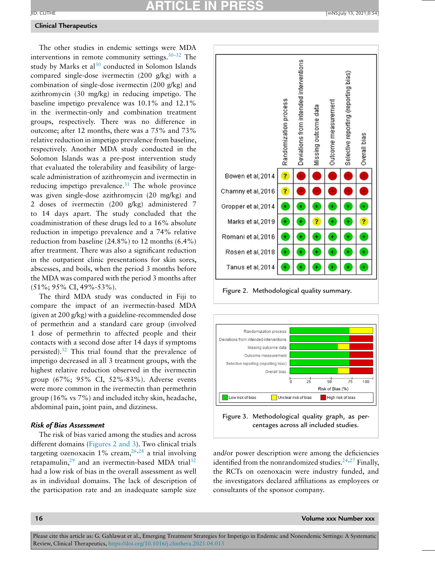# **ARTICLE IN PRESS**

### **Clinical Therapeutics**

The other studies in endemic settings were MDA interventions in remote community settings.  $30-32$  The study by Marks et al $30$  conducted in Solomon Islands compared single-dose ivermectin (200 g/kg) with a combination of single-dose ivermectin (200 g/kg) and azithromycin (30 mg/kg) in reducing impetigo. The baseline impetigo prevalence was 10.1% and 12.1% in the ivermectin-only and combination treatment groups, respectively. There was no difference in outcome; after 12 months, there was a 75% and 73% relative reduction in impetigo prevalence from baseline, respectively. Another MDA study conducted in the Solomon Islands was a pre-post intervention study that evaluated the tolerability and feasibility of largescale administration of azithromycin and ivermectin in reducing impetigo prevalence.<sup>31</sup> The whole province was given single-dose azithromycin (20 mg/kg) and 2 doses of ivermectin (200 g/kg) administered 7 to 14 days apart. The study concluded that the coadministration of these drugs led to a 16% absolute reduction in impetigo prevalence and a 74% relative reduction from baseline  $(24.8\%)$  to 12 months  $(6.4\%)$ after treatment. There was also a significant reduction in the outpatient clinic presentations for skin sores, abscesses, and boils, when the period 3 months before the MDA was compared with the period 3 months after (51%; 95% CI, 49%-53%).

The third MDA study was conducted in Fiji to compare the impact of an ivermectin-based MDA (given at 200 g/kg) with a guideline-recommended dose of permethrin and a standard care group (involved 1 dose of permethrin to affected people and their contacts with a second dose after 14 days if symptoms persisted)[.32](#page-19-0) This trial found that the prevalence of impetigo decreased in all 3 treatment groups, with the highest relative reduction observed in the ivermectin group (67%; 95% CI, 52%-83%). Adverse events were more common in the ivermectin than permethrin group (16% vs 7%) and included itchy skin, headache, abdominal pain, joint pain, and dizziness.

### *Risk of Bias Assessment*

The risk of bias varied among the studies and across different domains (Figures 2 and 3). Two clinical trials targeting ozenoxacin 1% cream,  $26,28$  a trial involving retapamulin, $29$  and an ivermectin-based MDA trial<sup>[32](#page-19-0)</sup> had a low risk of bias in the overall assessment as well as in individual domains. The lack of description of the participation rate and an inadequate sample size



Figure 2. Methodological quality summary.



Figure 3. Methodological quality graph, as percentages across all included studies.

and/or power description were among the deficiencies identified from the nonrandomized studies. $24,27$  Finally, the RCTs on ozenoxacin were industry funded, and the investigators declared affiliations as employees or consultants of the sponsor company.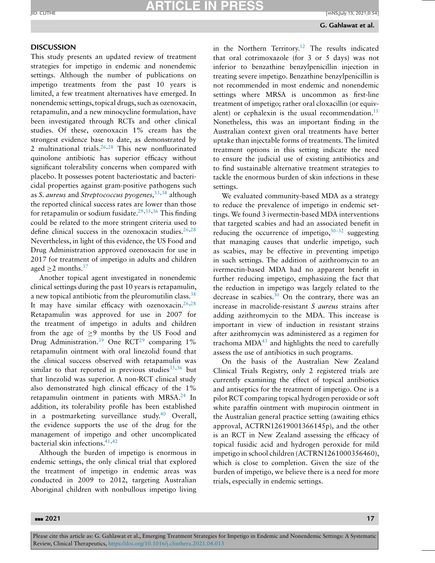### **ARTICLE IN PRESS** JID: CLITHE [mNS;July 13, 2021;0:54]

### **DISCUSSION**

This study presents an updated review of treatment strategies for impetigo in endemic and nonendemic settings. Although the number of publications on impetigo treatments from the past 10 years is limited, a few treatment alternatives have emerged. In nonendemic settings, topical drugs, such as ozenoxacin, retapamulin, and a new minocycline formulation, have been investigated through RCTs and other clinical studies. Of these, ozenoxacin 1% cream has the strongest evidence base to date, as demonstrated by 2 multinational trials[.26,28](#page-19-0) This new nonfluorinated quinolone antibiotic has superior efficacy without significant tolerability concerns when compared with placebo. It possesses potent bacteriostatic and bactericidal properties against gram-positive pathogens such as *S. aureus* and *Streptococcus pyogenes,*[33,34](#page-19-0) although the reported clinical success rates are lower than those for retapamulin or sodium fusidate.<sup>29,35,36</sup> This finding could be related to the more stringent criteria used to define clinical success in the ozenoxacin studies.<sup>26,28</sup> Nevertheless, in light of this evidence, the US Food and Drug Administration approved ozenoxacin for use in 2017 for treatment of impetigo in adults and children aged  $\geq$  2 months.<sup>37</sup>

Another topical agent investigated in nonendemic clinical settings during the past 10 years is retapamulin, a new topical antibiotic from the pleuromutilin class.<sup>38</sup> It may have similar efficacy with ozenoxacin.<sup>26,28</sup> Retapamulin was approved for use in 2007 for the treatment of impetigo in adults and children from the age of ≥9 months by the US Food and Drug Administration.<sup>39</sup> One RCT<sup>[29](#page-19-0)</sup> comparing 1% retapamulin ointment with oral linezolid found that the clinical success observed with retapamulin was similar to that reported in previous studies  $35,36$  but that linezolid was superior. A non-RCT clinical study also demonstrated high clinical efficacy of the 1% retapamulin ointment in patients with MRSA.<sup>24</sup> In addition, its tolerability profile has been established in a postmarketing surveillance study. $40$  Overall, the evidence supports the use of the drug for the management of impetigo and other uncomplicated bacterial skin infections[.41,42](#page-19-0)

Although the burden of impetigo is enormous in endemic settings, the only clinical trial that explored the treatment of impetigo in endemic areas was conducted in 2009 to 2012, targeting Australian Aboriginal children with nonbullous impetigo living

in the Northern Territory.<sup>12</sup> The results indicated that oral cotrimoxazole (for 3 or 5 days) was not inferior to benzathine benzylpenicillin injection in treating severe impetigo. Benzathine benzylpenicillin is not recommended in most endemic and nonendemic settings where MRSA is uncommon as first-line treatment of impetigo; rather oral cloxacillin (or equivalent) or cephalexin is the usual recommendation. $11$ Nonetheless, this was an important finding in the Australian context given oral treatments have better uptake than injectable forms of treatments. The limited treatment options in this setting indicate the need to ensure the judicial use of existing antibiotics and to find sustainable alternative treatment strategies to tackle the enormous burden of skin infections in these settings.

We evaluated community-based MDA as a strategy to reduce the prevalence of impetigo in endemic settings. We found 3 ivermectin-based MDA interventions that targeted scabies and had an associated benefit in reducing the occurrence of impetigo,  $30-32$  suggesting that managing causes that underlie impetigo, such as scabies, may be effective in preventing impetigo in such settings. The addition of azithromycin to an ivermectin-based MDA had no apparent benefit in further reducing impetigo, emphasizing the fact that the reduction in impetigo was largely related to the decrease in scabies. $30$  On the contrary, there was an increase in macrolide-resistant *S aureus* strains after adding azithromycin to the MDA. This increase is important in view of induction in resistant strains after azithromycin was administered as a regimen for trachoma  $MDA<sup>43</sup>$  $MDA<sup>43</sup>$  $MDA<sup>43</sup>$  and highlights the need to carefully assess the use of antibiotics in such programs.

On the basis of the Australian New Zealand Clinical Trials Registry, only 2 registered trials are currently examining the effect of topical antibiotics and antiseptics for the treatment of impetigo. One is a pilot RCT comparing topical hydrogen peroxide or soft white paraffin ointment with mupirocin ointment in the Australian general practice setting (awaiting ethics approval, ACTRN12619001366145p), and the other is an RCT in New Zealand assessing the efficacy of topical fusidic acid and hydrogen peroxide for mild impetigo in school children (ACTRN1261000356460), which is close to completion. Given the size of the burden of impetigo, we believe there is a need for more trials, especially in endemic settings.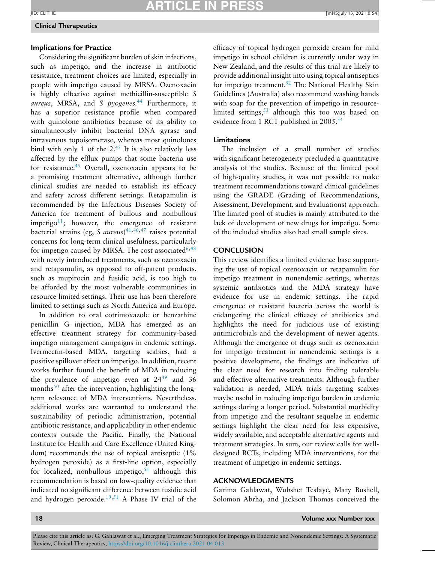### **ARTICLE IN PRESS** JID: CLITHE [mNS;July 13, 2021;0:54]

### **Clinical Therapeutics**

### **Implications for Practice**

Considering the significant burden of skin infections, such as impetigo, and the increase in antibiotic resistance, treatment choices are limited, especially in people with impetigo caused by MRSA. Ozenoxacin is highly effective against methicillin-susceptible *S aureus*, MRSA, and *S pyogenes.*[44](#page-20-0) Furthermore, it has a superior resistance profile when compared with quinolone antibiotics because of its ability to simultaneously inhibit bacterial DNA gyrase and intravenous topoisomerase, whereas most quinolones bind with only 1 of the  $2^{45}$  It is also relatively less affected by the efflux pumps that some bacteria use for resistance. $45$  Overall, ozenoxacin appears to be a promising treatment alternative, although further clinical studies are needed to establish its efficacy and safety across different settings. Retapamulin is recommended by the Infectious Diseases Society of America for treatment of bullous and nonbullous impetigo<sup>11</sup>; however, the emergence of resistant bacterial strains (eg, *S aureus*) [41](#page-19-0)[,46,47](#page-20-0) raises potential concerns for long-term clinical usefulness, particularly for impetigo caused by MRSA. The cost associated<sup>[6](#page-18-0)[,48](#page-20-0)</sup> with newly introduced treatments, such as ozenoxacin and retapamulin, as opposed to off-patent products, such as mupirocin and fusidic acid, is too high to be afforded by the most vulnerable communities in resource-limited settings. Their use has been therefore limited to settings such as North America and Europe.

In addition to oral cotrimoxazole or benzathine penicillin G injection, MDA has emerged as an effective treatment strategy for community-based impetigo management campaigns in endemic settings. Ivermectin-based MDA, targeting scabies, had a positive spillover effect on impetigo. In addition, recent works further found the benefit of MDA in reducing the prevalence of impetigo even at 24<sup>[49](#page-20-0)</sup> and 36 months $^{50}$  $^{50}$  $^{50}$  after the intervention, highlighting the longterm relevance of MDA interventions. Nevertheless, additional works are warranted to understand the sustainability of periodic administration, potential antibiotic resistance, and applicability in other endemic contexts outside the Pacific. Finally, the National Institute for Health and Care Excellence (United Kingdom) recommends the use of topical antiseptic (1% hydrogen peroxide) as a first-line option, especially for localized, nonbullous impetigo, $51$  although this recommendation is based on low-quality evidence that indicated no significant difference between fusidic acid and hydrogen peroxide. $19,51$  $19,51$  A Phase IV trial of the efficacy of topical hydrogen peroxide cream for mild impetigo in school children is currently under way in New Zealand, and the results of this trial are likely to provide additional insight into using topical antiseptics for impetigo treatment.<sup>52</sup> The National Healthy Skin Guidelines (Australia) also recommend washing hands with soap for the prevention of impetigo in resourcelimited settings,  $53$  although this too was based on evidence from 1 RCT published in 2005.<sup>54</sup>

### **Limitations**

The inclusion of a small number of studies with significant heterogeneity precluded a quantitative analysis of the studies. Because of the limited pool of high-quality studies, it was not possible to make treatment recommendations toward clinical guidelines using the GRADE (Grading of Recommendations, Assessment, Development, and Evaluations) approach. The limited pool of studies is mainly attributed to the lack of development of new drugs for impetigo. Some of the included studies also had small sample sizes.

### **CONCLUSION**

This review identifies a limited evidence base supporting the use of topical ozenoxacin or retapamulin for impetigo treatment in nonendemic settings, whereas systemic antibiotics and the MDA strategy have evidence for use in endemic settings. The rapid emergence of resistant bacteria across the world is endangering the clinical efficacy of antibiotics and highlights the need for judicious use of existing antimicrobials and the development of newer agents. Although the emergence of drugs such as ozenoxacin for impetigo treatment in nonendemic settings is a positive development, the findings are indicative of the clear need for research into finding tolerable and effective alternative treatments. Although further validation is needed, MDA trials targeting scabies maybe useful in reducing impetigo burden in endemic settings during a longer period. Substantial morbidity from impetigo and the resultant sequelae in endemic settings highlight the clear need for less expensive, widely available, and acceptable alternative agents and treatment strategies. In sum, our review calls for welldesigned RCTs, including MDA interventions, for the treatment of impetigo in endemic settings.

### **ACKNOWLEDGMENTS**

Garima Gahlawat, Wubshet Tesfaye, Mary Bushell, Solomon Abrha, and Jackson Thomas conceived the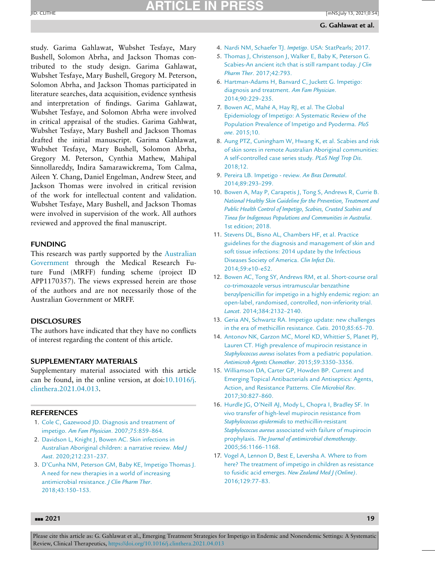# **ARTICLE IN PR**

<span id="page-18-0"></span>study. Garima Gahlawat, Wubshet Tesfaye, Mary Bushell, Solomon Abrha, and Jackson Thomas contributed to the study design. Garima Gahlawat, Wubshet Tesfaye, Mary Bushell, Gregory M. Peterson, Solomon Abrha, and Jackson Thomas participated in literature searches, data acquisition, evidence synthesis and interpretation of findings. Garima Gahlawat, Wubshet Tesfaye, and Solomon Abrha were involved in critical appraisal of the studies. Garima Gahlwat, Wubshet Tesfaye, Mary Bushell and Jackson Thomas drafted the initial manuscript. Garima Gahlawat, Wubshet Tesfaye, Mary Bushell, Solomon Abrha, Gregory M. Peterson, Cynthia Mathew, Mahipal Sinnollareddy, Indira Samarawickrema, Tom Calma, Aileen Y. Chang, Daniel Engelman, Andrew Steer, and Jackson Thomas were involved in critical revision of the work for intellectual content and validation. Wubshet Tesfaye, Mary Bushell, and Jackson Thomas were involved in supervision of the work. All authors reviewed and approved the final manuscript.

### **FUNDING**

This research was partly supported by the Australian [Government](https://doi.org/10.13039/100015539) through the Medical Research Future Fund (MRFF) funding scheme (project ID APP1170357). The views expressed herein are those of the authors and are not necessarily those of the Australian Government or MRFF.

### **DISCLOSURES**

The authors have indicated that they have no conflicts of interest regarding the content of this article.

### **SUPPLEMENTARY MATERIALS**

Supplementary material associated with this article can be found, in the online version, at doi:10.1016/j. [clinthera.2021.04.013.](https://doi.org/10.1016/j.clinthera.2021.04.013)

### **REFERENCES**

- 1. [Cole](http://refhub.elsevier.com/S0149-2918(21)00208-3/sbref0001) C, [Gazewood](http://refhub.elsevier.com/S0149-2918(21)00208-3/sbref0001) JD. Diagnosis and treatment of impetigo. *Am Fam Physician*. [2007;75:859–864.](http://refhub.elsevier.com/S0149-2918(21)00208-3/sbref0001)
- 2. [Davidson](http://refhub.elsevier.com/S0149-2918(21)00208-3/sbref0002) L, [Knight](http://refhub.elsevier.com/S0149-2918(21)00208-3/sbref0002) J, [Bowen](http://refhub.elsevier.com/S0149-2918(21)00208-3/sbref0002) AC. Skin infections in Australian Aboriginal children: a narrative review. *Med J Aust*. [2020;212:231–237.](http://refhub.elsevier.com/S0149-2918(21)00208-3/sbref0002)
- 3. [D'Cunha](http://refhub.elsevier.com/S0149-2918(21)00208-3/sbref0003) NM, [Peterson](http://refhub.elsevier.com/S0149-2918(21)00208-3/sbref0003) GM, [Baby](http://refhub.elsevier.com/S0149-2918(21)00208-3/sbref0003) KE, [Impetigo](http://refhub.elsevier.com/S0149-2918(21)00208-3/sbref0003) Thomas J. A need for new therapies in a world of increasing antimicrobial resistance. *J Clin Pharm Ther*. [2018;43:150–153.](http://refhub.elsevier.com/S0149-2918(21)00208-3/sbref0003)
- 4. [Nardi](http://refhub.elsevier.com/S0149-2918(21)00208-3/sbref0004) NM, [Schaefer](http://refhub.elsevier.com/S0149-2918(21)00208-3/sbref0004) TJ. *Impetigo*. USA: [StatPearls;](http://refhub.elsevier.com/S0149-2918(21)00208-3/sbref0004) 2017.
- 5. [Thomas](http://refhub.elsevier.com/S0149-2918(21)00208-3/sbref0005) J, [Christenson](http://refhub.elsevier.com/S0149-2918(21)00208-3/sbref0005) J, [Walker](http://refhub.elsevier.com/S0149-2918(21)00208-3/sbref0005) E, [Baby](http://refhub.elsevier.com/S0149-2918(21)00208-3/sbref0005) K, [Peterson](http://refhub.elsevier.com/S0149-2918(21)00208-3/sbref0005) G. Scabies-An ancient itch that is still rampant today. *J Clin Pharm Ther*. [2017;42:793.](http://refhub.elsevier.com/S0149-2918(21)00208-3/sbref0005)
- 6. [Hartman-Adams](http://refhub.elsevier.com/S0149-2918(21)00208-3/sbref0006) H, [Banvard](http://refhub.elsevier.com/S0149-2918(21)00208-3/sbref0006) C, [Juckett](http://refhub.elsevier.com/S0149-2918(21)00208-3/sbref0006) G. Impetigo: diagnosis and treatment. *Am Fam Physician*. [2014;90:229–235.](http://refhub.elsevier.com/S0149-2918(21)00208-3/sbref0006)
- 7. [Bowen](http://refhub.elsevier.com/S0149-2918(21)00208-3/sbref0007) AC, [Mahé A,](http://refhub.elsevier.com/S0149-2918(21)00208-3/sbref0007) [Hay](http://refhub.elsevier.com/S0149-2918(21)00208-3/sbref0007) RJ, et [al.](http://refhub.elsevier.com/S0149-2918(21)00208-3/sbref0007) The Global [Epidemiology](http://refhub.elsevier.com/S0149-2918(21)00208-3/sbref0007) of Impetigo: A Systematic Review of the Population Prevalence of Impetigo and Pyoderma. *PloS one*. 2015;10.
- 8. [Aung](http://refhub.elsevier.com/S0149-2918(21)00208-3/sbref0008) PTZ, [Cuningham](http://refhub.elsevier.com/S0149-2918(21)00208-3/sbref0008) W, [Hwang](http://refhub.elsevier.com/S0149-2918(21)00208-3/sbref0008) K, et [al.](http://refhub.elsevier.com/S0149-2918(21)00208-3/sbref0008) Scabies and risk of skin sores in remote Australian Aboriginal communities: A [self-controlled](http://refhub.elsevier.com/S0149-2918(21)00208-3/sbref0008) case series study. *PLoS Negl Trop Dis*. 2018;12.
- 9. [Pereira](http://refhub.elsevier.com/S0149-2918(21)00208-3/sbref0009) LB. Impetigo review. *An Bras Dermatol*. [2014;89:293–299.](http://refhub.elsevier.com/S0149-2918(21)00208-3/sbref0009)
- 10. [Bowen](http://refhub.elsevier.com/S0149-2918(21)00208-3/sbref0010) A, [May](http://refhub.elsevier.com/S0149-2918(21)00208-3/sbref0010) P, [Carapetis](http://refhub.elsevier.com/S0149-2918(21)00208-3/sbref0010) J, [Tong](http://refhub.elsevier.com/S0149-2918(21)00208-3/sbref0010) S, [Andrews](http://refhub.elsevier.com/S0149-2918(21)00208-3/sbref0010) R, [Currie](http://refhub.elsevier.com/S0149-2918(21)00208-3/sbref0010) B. *National Healthy Skin Guideline for the Prevention, Treatment and Public Health Control of Impetigo, Scabies, Crusted Scabies and Tinea for Indigenous Populations and [Communities](http://refhub.elsevier.com/S0149-2918(21)00208-3/sbref0010) in Australia*. 1st edition; 2018.
- 11. [Stevens](http://refhub.elsevier.com/S0149-2918(21)00208-3/sbref0011) DL, [Bisno](http://refhub.elsevier.com/S0149-2918(21)00208-3/sbref0011) AL, [Chambers](http://refhub.elsevier.com/S0149-2918(21)00208-3/sbref0011) HF, et [al.](http://refhub.elsevier.com/S0149-2918(21)00208-3/sbref0011) Practice guidelines for the diagnosis and management of skin and soft tissue infections: 2014 update by the Infectious Diseases Society of America. *Clin Infect Dis*. [2014;59:e10–e52.](http://refhub.elsevier.com/S0149-2918(21)00208-3/sbref0011)
- 12. [Bowen](http://refhub.elsevier.com/S0149-2918(21)00208-3/sbref0012) AC, [Tong](http://refhub.elsevier.com/S0149-2918(21)00208-3/sbref0012) SY, [Andrews](http://refhub.elsevier.com/S0149-2918(21)00208-3/sbref0012) RM, et [al.](http://refhub.elsevier.com/S0149-2918(21)00208-3/sbref0012) Short-course oral co-trimoxazole versus intramuscular benzathine benzylpenicillin for impetigo in a highly endemic region: an open-label, randomised, controlled, non-inferiority trial. *Lancet*. [2014;384:2132–2140.](http://refhub.elsevier.com/S0149-2918(21)00208-3/sbref0012)
- 13. [Geria](http://refhub.elsevier.com/S0149-2918(21)00208-3/sbref0013) AN, [Schwartz](http://refhub.elsevier.com/S0149-2918(21)00208-3/sbref0013) RA. Impetigo update: new challenges in the era of methicillin resistance. *Cutis*. [2010;85:65–70.](http://refhub.elsevier.com/S0149-2918(21)00208-3/sbref0013)
- 14. [Antonov](http://refhub.elsevier.com/S0149-2918(21)00208-3/sbref0014) NK, [Garzon](http://refhub.elsevier.com/S0149-2918(21)00208-3/sbref0014) MC, [Morel](http://refhub.elsevier.com/S0149-2918(21)00208-3/sbref0014) KD, [Whittier](http://refhub.elsevier.com/S0149-2918(21)00208-3/sbref0014) S, [Planet](http://refhub.elsevier.com/S0149-2918(21)00208-3/sbref0014) PJ, [Lauren](http://refhub.elsevier.com/S0149-2918(21)00208-3/sbref0014) CT. High prevalence of mupirocin resistance in *Staphylococcus aureus* isolates from a pediatric population. *Antimicrob Agents Chemother*. [2015;59:3350–3356.](http://refhub.elsevier.com/S0149-2918(21)00208-3/sbref0014)
- 15. [Williamson](http://refhub.elsevier.com/S0149-2918(21)00208-3/sbref0015) DA, [Carter](http://refhub.elsevier.com/S0149-2918(21)00208-3/sbref0015) GP, [Howden](http://refhub.elsevier.com/S0149-2918(21)00208-3/sbref0015) BP. Current and Emerging Topical Antibacterials and Antiseptics: Agents, Action, and Resistance Patterns. *Clin Microbiol Rev*. [2017;30:827–860.](http://refhub.elsevier.com/S0149-2918(21)00208-3/sbref0015)
- 16. [Hurdle](http://refhub.elsevier.com/S0149-2918(21)00208-3/sbref0016) JG, [O'Neill](http://refhub.elsevier.com/S0149-2918(21)00208-3/sbref0016) AJ, [Mody](http://refhub.elsevier.com/S0149-2918(21)00208-3/sbref0016) L, [Chopra](http://refhub.elsevier.com/S0149-2918(21)00208-3/sbref0016) I, [Bradley](http://refhub.elsevier.com/S0149-2918(21)00208-3/sbref0016) SF. In vivo transfer of high-level mupirocin resistance from *Staphylococcus epidermidis* to methicillin-resistant *Staphylococcus aureus* associated with failure of mupirocin prophylaxis. *The Journal of antimicrobial chemotherapy*. [2005;56:1166–1168.](http://refhub.elsevier.com/S0149-2918(21)00208-3/sbref0016)
- 17. [Vogel](http://refhub.elsevier.com/S0149-2918(21)00208-3/sbref0017) A, [Lennon](http://refhub.elsevier.com/S0149-2918(21)00208-3/sbref0017) D, [Best](http://refhub.elsevier.com/S0149-2918(21)00208-3/sbref0017) E, [Leversha](http://refhub.elsevier.com/S0149-2918(21)00208-3/sbref0017) A. Where to from here? The treatment of impetigo in children as resistance to fusidic acid emerges. *New Zealand Med J (Online)*. [2016;129:77–83.](http://refhub.elsevier.com/S0149-2918(21)00208-3/sbref0017)

### ---**2021 19**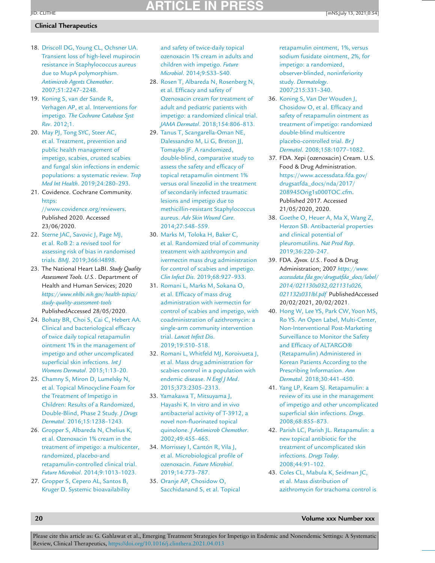### <span id="page-19-0"></span>**ARTICLE IN PR** JID: CLITHE [mNS;July 13, 2021;0:54]

### **Clinical Therapeutics**

- 18. [Driscoll](http://refhub.elsevier.com/S0149-2918(21)00208-3/sbref0018) DG, [Young](http://refhub.elsevier.com/S0149-2918(21)00208-3/sbref0018) CL, [Ochsner](http://refhub.elsevier.com/S0149-2918(21)00208-3/sbref0018) UA. Transient loss of high-level mupirocin resistance in Staphylococcus aureus due to MupA polymorphism. *Antimicrob Agents Chemother*. [2007;51:2247–2248.](http://refhub.elsevier.com/S0149-2918(21)00208-3/sbref0018)
- 19. [Koning](http://refhub.elsevier.com/S0149-2918(21)00208-3/sbref0019) S, van der [Sande](http://refhub.elsevier.com/S0149-2918(21)00208-3/sbref0019) R, [Verhagen](http://refhub.elsevier.com/S0149-2918(21)00208-3/sbref0019) AP, et [al.](http://refhub.elsevier.com/S0149-2918(21)00208-3/sbref0019) [Interventions](http://refhub.elsevier.com/S0149-2918(21)00208-3/sbref0019) for impetigo. *The Cochrane Catabase Syst Rev*. 2012;1.
- 20. [May](http://refhub.elsevier.com/S0149-2918(21)00208-3/sbref0020) PJ, [Tong](http://refhub.elsevier.com/S0149-2918(21)00208-3/sbref0020) SYC, [Steer](http://refhub.elsevier.com/S0149-2918(21)00208-3/sbref0020) AC, et [al.](http://refhub.elsevier.com/S0149-2918(21)00208-3/sbref0020) Treatment, prevention and public health management of impetigo, scabies, crusted scabies and fungal skin infections in endemic populations: a systematic review. *Trop Med Int Health*. [2019;24:280–293.](http://refhub.elsevier.com/S0149-2918(21)00208-3/sbref0020)
- 21. Covidence. Cochrane Community. https: [//www.covidence.org/reviewers.](https://www.covidence.org/reviewers)

Published 2020. Accessed 23/06/2020.

- 22. [Sterne](http://refhub.elsevier.com/S0149-2918(21)00208-3/sbref0022) JAC, [Savovic](http://refhub.elsevier.com/S0149-2918(21)00208-3/sbref0022) J, [Page](http://refhub.elsevier.com/S0149-2918(21)00208-3/sbref0022) MJ, et [al.](http://refhub.elsevier.com/S0149-2918(21)00208-3/sbref0022) RoB 2: a revised tool for assessing risk of bias in randomised trials. *BMJ*. [2019;366:l4898.](http://refhub.elsevier.com/S0149-2918(21)00208-3/sbref0022)
- 23. The National Heart LaBI. *Study Quality Assessment Tools. U.S.*. Department of Health and Human Services; 2020 *[https://www.nhlbi.nih.gov/health-topics/](https://www.nhlbi.nih.gov/health-topics/study-quality-assessment-tools) study-quality-assessment-tools* PublishedAccessed 28/05/2020.
- 24. [Bohaty](http://refhub.elsevier.com/S0149-2918(21)00208-3/sbref0024) BR, [Choi](http://refhub.elsevier.com/S0149-2918(21)00208-3/sbref0024) S, [Cai](http://refhub.elsevier.com/S0149-2918(21)00208-3/sbref0024) C, [Hebert](http://refhub.elsevier.com/S0149-2918(21)00208-3/sbref0024) AA. Clinical and bacteriological efficacy of twice daily topical retapamulin ointment 1% in the management of impetigo and other [uncomplicated](http://refhub.elsevier.com/S0149-2918(21)00208-3/sbref0024) superficial skin infections. *Int J Womens Dermatol*. 2015;1:13–20.
- 25. [Chamny](http://refhub.elsevier.com/S0149-2918(21)00208-3/sbref0025) S, [Miron](http://refhub.elsevier.com/S0149-2918(21)00208-3/sbref0025) D, [Lumelsky](http://refhub.elsevier.com/S0149-2918(21)00208-3/sbref0025) N, et [al.](http://refhub.elsevier.com/S0149-2918(21)00208-3/sbref0025) Topical Minocycline Foam for the Treatment of Impetigo in Children: Results of a Randomized, Double-Blind, Phase 2 Study. *J Drugs Dermatol*. [2016;15:1238–1243.](http://refhub.elsevier.com/S0149-2918(21)00208-3/sbref0025)
- 26. [Gropper](http://refhub.elsevier.com/S0149-2918(21)00208-3/sbref0026) S, [Albareda](http://refhub.elsevier.com/S0149-2918(21)00208-3/sbref0026) N, [Chelius](http://refhub.elsevier.com/S0149-2918(21)00208-3/sbref0026) K, et [al.](http://refhub.elsevier.com/S0149-2918(21)00208-3/sbref0026) Ozenoxacin 1% cream in the treatment of impetigo: a multicenter, randomized, placebo-and [retapamulin-controlled](http://refhub.elsevier.com/S0149-2918(21)00208-3/sbref0026) clinical trial. *Future Microbiol*. 2014;9:1013–1023.

27. [Gropper](http://refhub.elsevier.com/S0149-2918(21)00208-3/sbref0027) S, [Cepero](http://refhub.elsevier.com/S0149-2918(21)00208-3/sbref0027) AL, [Santos](http://refhub.elsevier.com/S0149-2918(21)00208-3/sbref0027) B, [Kruger](http://refhub.elsevier.com/S0149-2918(21)00208-3/sbref0027) D. Systemic bioavailability and safety of twice-daily topical ozenoxacin 1% cream in adults and children with impetigo. *Future Microbiol*. 2014;9:S33–S40.

- 28. [Rosen](http://refhub.elsevier.com/S0149-2918(21)00208-3/sbref0028) T, [Albareda](http://refhub.elsevier.com/S0149-2918(21)00208-3/sbref0028) N, [Rosenberg](http://refhub.elsevier.com/S0149-2918(21)00208-3/sbref0028) N, et [al.](http://refhub.elsevier.com/S0149-2918(21)00208-3/sbref0028) Efficacy and safety of Ozenoxacin cream for treatment of adult and pediatric patients with impetigo: a randomized clinical trial. *JAMA Dermatol*. [2018;154:806–813.](http://refhub.elsevier.com/S0149-2918(21)00208-3/sbref0028)
- 29. [Tanus](http://refhub.elsevier.com/S0149-2918(21)00208-3/sbref0029) T, [Scangarella-Oman](http://refhub.elsevier.com/S0149-2918(21)00208-3/sbref0029) NE, [Dalessandro](http://refhub.elsevier.com/S0149-2918(21)00208-3/sbref0029) M, Li [G,](http://refhub.elsevier.com/S0149-2918(21)00208-3/sbref0029) [Breton](http://refhub.elsevier.com/S0149-2918(21)00208-3/sbref0029) JJ, [Tomayko](http://refhub.elsevier.com/S0149-2918(21)00208-3/sbref0029) JF. A randomized, double-blind, comparative study to assess the safety and efficacy of topical retapamulin ointment 1% versus oral linezolid in the treatment of secondarily infected traumatic lesions and impetigo due to [methicillin-resistant](http://refhub.elsevier.com/S0149-2918(21)00208-3/sbref0029) Staphylococcus aureus. *Adv Skin Wound Care*. 2014;27:548–559.
- 30. [Marks](http://refhub.elsevier.com/S0149-2918(21)00208-3/sbref0030) M, [Toloka](http://refhub.elsevier.com/S0149-2918(21)00208-3/sbref0030) H, [Baker](http://refhub.elsevier.com/S0149-2918(21)00208-3/sbref0030) C, et [al.](http://refhub.elsevier.com/S0149-2918(21)00208-3/sbref0030) Randomized trial of community treatment with azithromycin and ivermectin mass drug administration for control of scabies and impetigo. *Clin Infect Dis*. [2019;68:927–933.](http://refhub.elsevier.com/S0149-2918(21)00208-3/sbref0030)
- 31. [Romani](http://refhub.elsevier.com/S0149-2918(21)00208-3/sbref0031) L, [Marks](http://refhub.elsevier.com/S0149-2918(21)00208-3/sbref0031) M, [Sokana](http://refhub.elsevier.com/S0149-2918(21)00208-3/sbref0031) O, et [al.](http://refhub.elsevier.com/S0149-2918(21)00208-3/sbref0031) Efficacy of mass drug administration with ivermectin for control of scabies and impetigo, with coadministration of azithromycin: a single-arm community intervention trial. *Lancet Infect Dis*. [2019;19:510–518.](http://refhub.elsevier.com/S0149-2918(21)00208-3/sbref0031)
- 32. [Romani](http://refhub.elsevier.com/S0149-2918(21)00208-3/sbref0032) L, [Whitfeld](http://refhub.elsevier.com/S0149-2918(21)00208-3/sbref0032) MJ, [Koroivueta](http://refhub.elsevier.com/S0149-2918(21)00208-3/sbref0032) J, et [al.](http://refhub.elsevier.com/S0149-2918(21)00208-3/sbref0032) Mass drug administration for scabies control in a population with endemic disease. *N Engl J Med*. [2015;373:2305–2313.](http://refhub.elsevier.com/S0149-2918(21)00208-3/sbref0032)
- 33. [Yamakawa](http://refhub.elsevier.com/S0149-2918(21)00208-3/sbref0033) T, [Mitsuyama](http://refhub.elsevier.com/S0149-2918(21)00208-3/sbref0033) J, [Hayashi](http://refhub.elsevier.com/S0149-2918(21)00208-3/sbref0033) K. In vitro and in vivo antibacterial activity of T-3912, a novel non-fluorinated topical quinolone. *J Antimicrob Chemother*. [2002;49:455–465.](http://refhub.elsevier.com/S0149-2918(21)00208-3/sbref0033)
- 34. [Morrissey](http://refhub.elsevier.com/S0149-2918(21)00208-3/sbref0034) I, [Cantón](http://refhub.elsevier.com/S0149-2918(21)00208-3/sbref0034) R, [Vila](http://refhub.elsevier.com/S0149-2918(21)00208-3/sbref0034) J, et [al.](http://refhub.elsevier.com/S0149-2918(21)00208-3/sbref0034) Microbiological profile of ozenoxacin. *Future Microbiol*. [2019;14:773–787.](http://refhub.elsevier.com/S0149-2918(21)00208-3/sbref0034)
- 35. [Oranje](http://refhub.elsevier.com/S0149-2918(21)00208-3/sbref0035) AP, [Chosidow](http://refhub.elsevier.com/S0149-2918(21)00208-3/sbref0035) O, [Sacchidanand](http://refhub.elsevier.com/S0149-2918(21)00208-3/sbref0035) S, et [al.](http://refhub.elsevier.com/S0149-2918(21)00208-3/sbref0035) Topical

retapamulin ointment, 1%, versus sodium fusidate ointment, 2%, for impetigo: a randomized, observer-blinded, noninferiority study. *Dermatology*. 2007;215:331–340.

- 36. [Koning](http://refhub.elsevier.com/S0149-2918(21)00208-3/sbref0036) S, Van Der [Wouden](http://refhub.elsevier.com/S0149-2918(21)00208-3/sbref0036) J, [Chosidow](http://refhub.elsevier.com/S0149-2918(21)00208-3/sbref0036) O, et [al.](http://refhub.elsevier.com/S0149-2918(21)00208-3/sbref0036) Efficacy and safety of retapamulin ointment as treatment of impetigo: randomized double-blind multicentre placebo-controlled trial. *Br J Dermatol*. [2008;158:1077–1082.](http://refhub.elsevier.com/S0149-2918(21)00208-3/sbref0036)
- 37. FDA. Xepi (ozenoxacin) Cream. U.S. Food & Drug Administration. [https://www.accessdata.fda.gov/](https://www.accessdata.fda.gov/drugsatfda_docs/nda/2017/208945Orig1s000TOC.cfm) drugsatfda\_docs/nda/2017/ 208945Orig1s000TOC.cfm. Published 2017. Accessed 21/05/2020, 2020.
- 38. [Goethe](http://refhub.elsevier.com/S0149-2918(21)00208-3/sbref0038) O, [Heuer](http://refhub.elsevier.com/S0149-2918(21)00208-3/sbref0038) A, [Ma](http://refhub.elsevier.com/S0149-2918(21)00208-3/sbref0038) X, [Wang](http://refhub.elsevier.com/S0149-2918(21)00208-3/sbref0038) Z, [Herzon](http://refhub.elsevier.com/S0149-2918(21)00208-3/sbref0038) SB. Antibacterial properties and clinical potential of pleuromutilins. *Nat Prod Rep*. [2019;36:220–247.](http://refhub.elsevier.com/S0149-2918(21)00208-3/sbref0038)
- 39. FDA. *Zyvox. U.S.*. Food & Drug Administration; 2007 *https://www. [accessdata.fda.gov/dr](http://refhub.elsevier.com/S0149-2918(21)00208-3/sbref0035)[ugsatfda\\_docs/label/](https://www.accessdata.fda.gov/drugsatfda_docs/label/2014/021130s032,021131s026,021132s031lbl.pdf) 2014/021130s032,021131s026, 021132s031lbl.pdf* PublishedAccessed 20/02/2021, 20/02/2021.
- 40. [Hong](http://refhub.elsevier.com/S0149-2918(21)00208-3/sbref0040) W, [Lee](http://refhub.elsevier.com/S0149-2918(21)00208-3/sbref0040) YS, [Park](http://refhub.elsevier.com/S0149-2918(21)00208-3/sbref0040) CW, [Yoon](http://refhub.elsevier.com/S0149-2918(21)00208-3/sbref0040) MS, [Ro](http://refhub.elsevier.com/S0149-2918(21)00208-3/sbref0040) YS. An Open Label, Multi-Center, [Non-Interventional](http://refhub.elsevier.com/S0149-2918(21)00208-3/sbref0040) Post-Marketing Surveillance to Monitor the Safety and Efficacy of ALTARGO® (Retapamulin) Administered in Korean Patients According to the Prescribing Information. *Ann Dermatol*. 2018;30:441–450.
- 41. [Yang](http://refhub.elsevier.com/S0149-2918(21)00208-3/sbref0041) LP, [Keam](http://refhub.elsevier.com/S0149-2918(21)00208-3/sbref0041) SJ. Retapamulin: a review of its use in the management of impetigo and other uncomplicated superficial skin infections. *Drugs*. [2008;68:855–873.](http://refhub.elsevier.com/S0149-2918(21)00208-3/sbref0041)
- 42. [Parish](http://refhub.elsevier.com/S0149-2918(21)00208-3/sbref0042) LC, [Parish](http://refhub.elsevier.com/S0149-2918(21)00208-3/sbref0042) JL. Retapamulin: a new topical antibiotic for the treatment of uncomplicated skin infections. *Drugs Today*. [2008;44:91–102.](http://refhub.elsevier.com/S0149-2918(21)00208-3/sbref0042)
- 43. [Coles](http://refhub.elsevier.com/S0149-2918(21)00208-3/sbref0043) CL, [Mabula](http://refhub.elsevier.com/S0149-2918(21)00208-3/sbref0043) K, [Seidman](http://refhub.elsevier.com/S0149-2918(21)00208-3/sbref0043) JC, et [al.](http://refhub.elsevier.com/S0149-2918(21)00208-3/sbref0043) Mass distribution of azithromycin for trachoma control is

### **20 Volume xxx Number xxx**